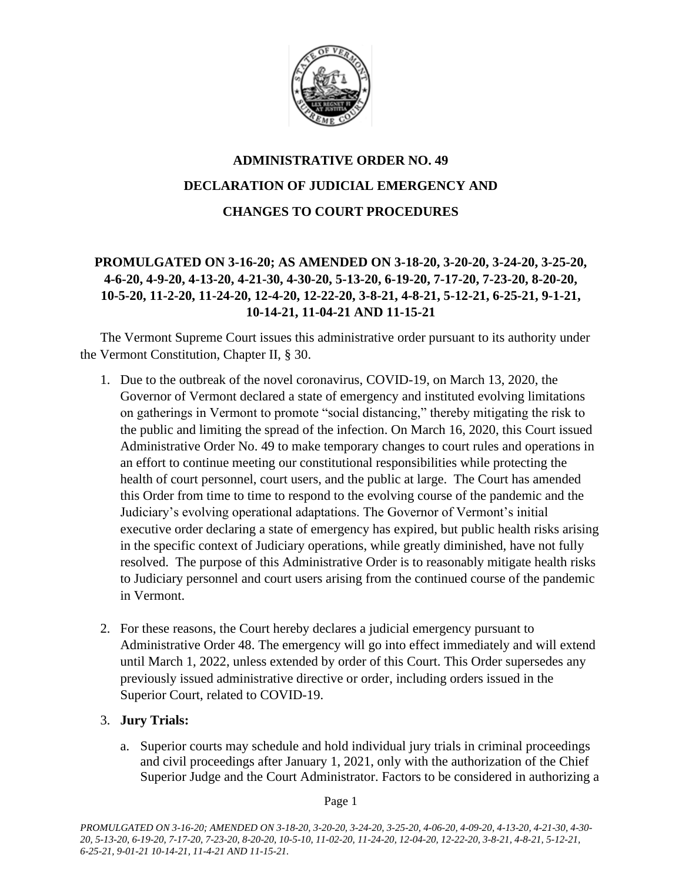

# **ADMINISTRATIVE ORDER NO. 49 DECLARATION OF JUDICIAL EMERGENCY AND CHANGES TO COURT PROCEDURES**

# **PROMULGATED ON 3-16-20; AS AMENDED ON 3-18-20, 3-20-20, 3-24-20, 3-25-20, 4-6-20, 4-9-20, 4-13-20, 4-21-30, 4-30-20, 5-13-20, 6-19-20, 7-17-20, 7-23-20, 8-20-20, 10-5-20, 11-2-20, 11-24-20, 12-4-20, 12-22-20, 3-8-21, 4-8-21, 5-12-21, 6-25-21, 9-1-21, 10-14-21, 11-04-21 AND 11-15-21**

The Vermont Supreme Court issues this administrative order pursuant to its authority under the Vermont Constitution, Chapter II, § 30.

- 1. Due to the outbreak of the novel coronavirus, COVID-19, on March 13, 2020, the Governor of Vermont declared a state of emergency and instituted evolving limitations on gatherings in Vermont to promote "social distancing," thereby mitigating the risk to the public and limiting the spread of the infection. On March 16, 2020, this Court issued Administrative Order No. 49 to make temporary changes to court rules and operations in an effort to continue meeting our constitutional responsibilities while protecting the health of court personnel, court users, and the public at large. The Court has amended this Order from time to time to respond to the evolving course of the pandemic and the Judiciary's evolving operational adaptations. The Governor of Vermont's initial executive order declaring a state of emergency has expired, but public health risks arising in the specific context of Judiciary operations, while greatly diminished, have not fully resolved. The purpose of this Administrative Order is to reasonably mitigate health risks to Judiciary personnel and court users arising from the continued course of the pandemic in Vermont.
- 2. For these reasons, the Court hereby declares a judicial emergency pursuant to Administrative Order 48. The emergency will go into effect immediately and will extend until March 1, 2022, unless extended by order of this Court. This Order supersedes any previously issued administrative directive or order, including orders issued in the Superior Court, related to COVID-19.

### 3. **Jury Trials:**

a. Superior courts may schedule and hold individual jury trials in criminal proceedings and civil proceedings after January 1, 2021, only with the authorization of the Chief Superior Judge and the Court Administrator. Factors to be considered in authorizing a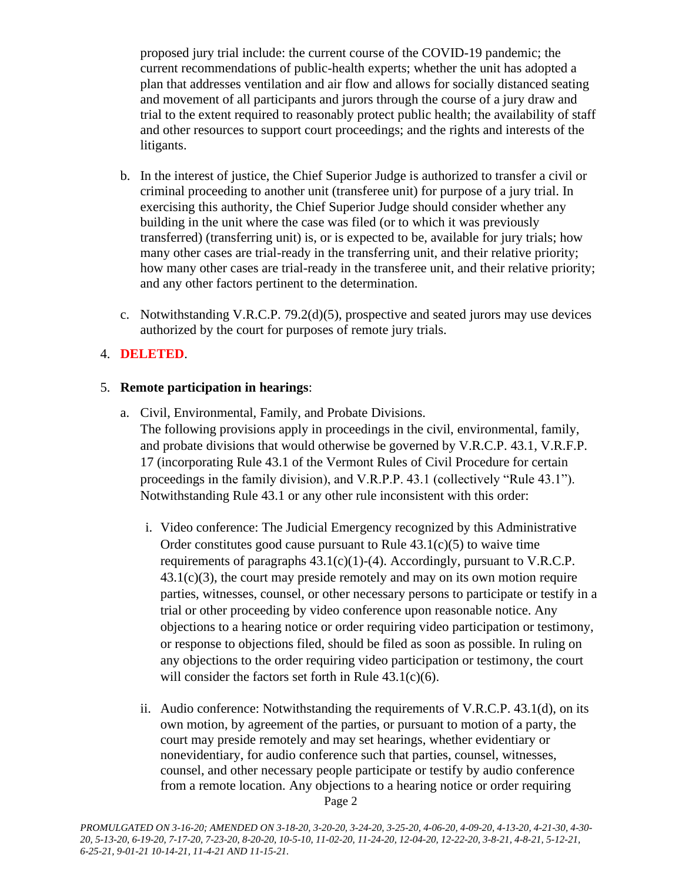proposed jury trial include: the current course of the COVID-19 pandemic; the current recommendations of public-health experts; whether the unit has adopted a plan that addresses ventilation and air flow and allows for socially distanced seating and movement of all participants and jurors through the course of a jury draw and trial to the extent required to reasonably protect public health; the availability of staff and other resources to support court proceedings; and the rights and interests of the litigants.

- b. In the interest of justice, the Chief Superior Judge is authorized to transfer a civil or criminal proceeding to another unit (transferee unit) for purpose of a jury trial. In exercising this authority, the Chief Superior Judge should consider whether any building in the unit where the case was filed (or to which it was previously transferred) (transferring unit) is, or is expected to be, available for jury trials; how many other cases are trial-ready in the transferring unit, and their relative priority; how many other cases are trial-ready in the transferee unit, and their relative priority; and any other factors pertinent to the determination.
- c. Notwithstanding V.R.C.P. 79.2(d)(5), prospective and seated jurors may use devices authorized by the court for purposes of remote jury trials.

### 4. **DELETED**.

### 5. **Remote participation in hearings**:

- a. Civil, Environmental, Family, and Probate Divisions. The following provisions apply in proceedings in the civil, environmental, family, and probate divisions that would otherwise be governed by V.R.C.P. 43.1, V.R.F.P. 17 (incorporating Rule 43.1 of the Vermont Rules of Civil Procedure for certain proceedings in the family division), and V.R.P.P. 43.1 (collectively "Rule 43.1"). Notwithstanding Rule 43.1 or any other rule inconsistent with this order:
	- i. Video conference: The Judicial Emergency recognized by this Administrative Order constitutes good cause pursuant to Rule  $43.1(c)(5)$  to waive time requirements of paragraphs  $43.1(c)(1)-(4)$ . Accordingly, pursuant to V.R.C.P.  $43.1(c)(3)$ , the court may preside remotely and may on its own motion require parties, witnesses, counsel, or other necessary persons to participate or testify in a trial or other proceeding by video conference upon reasonable notice. Any objections to a hearing notice or order requiring video participation or testimony, or response to objections filed, should be filed as soon as possible. In ruling on any objections to the order requiring video participation or testimony, the court will consider the factors set forth in Rule 43.1(c)(6).
	- Page 2 ii. Audio conference: Notwithstanding the requirements of V.R.C.P. 43.1(d), on its own motion, by agreement of the parties, or pursuant to motion of a party, the court may preside remotely and may set hearings, whether evidentiary or nonevidentiary, for audio conference such that parties, counsel, witnesses, counsel, and other necessary people participate or testify by audio conference from a remote location. Any objections to a hearing notice or order requiring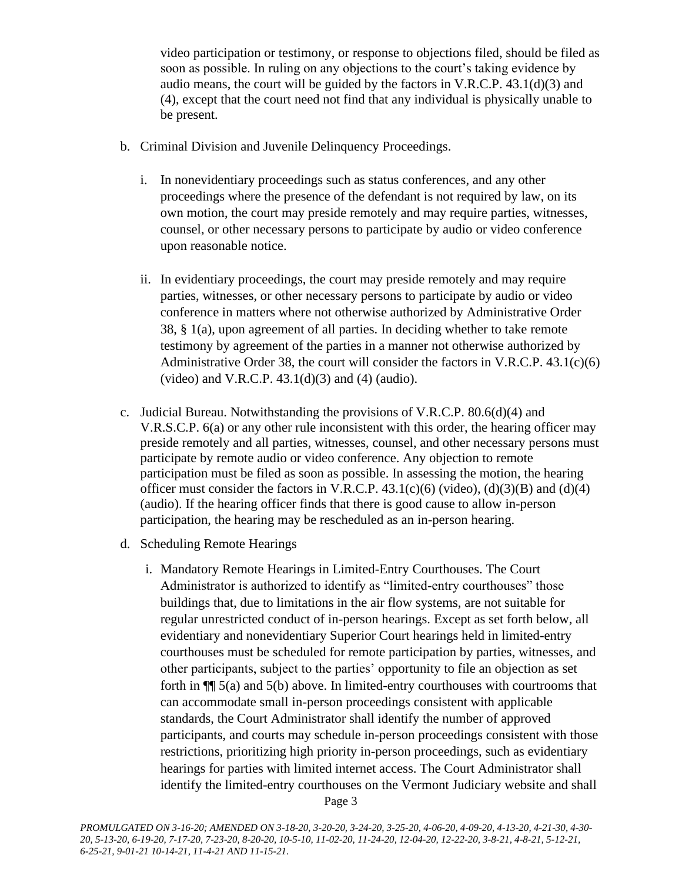video participation or testimony, or response to objections filed, should be filed as soon as possible. In ruling on any objections to the court's taking evidence by audio means, the court will be guided by the factors in  $V.R.C.P. 43.1(d)(3)$  and (4), except that the court need not find that any individual is physically unable to be present.

- b. Criminal Division and Juvenile Delinquency Proceedings.
	- i. In nonevidentiary proceedings such as status conferences, and any other proceedings where the presence of the defendant is not required by law, on its own motion, the court may preside remotely and may require parties, witnesses, counsel, or other necessary persons to participate by audio or video conference upon reasonable notice.
	- ii. In evidentiary proceedings, the court may preside remotely and may require parties, witnesses, or other necessary persons to participate by audio or video conference in matters where not otherwise authorized by Administrative Order 38, § 1(a), upon agreement of all parties. In deciding whether to take remote testimony by agreement of the parties in a manner not otherwise authorized by Administrative Order 38, the court will consider the factors in V.R.C.P.  $43.1(c)(6)$ (video) and V.R.C.P.  $43.1(d)(3)$  and  $(4)$  (audio).
- c. Judicial Bureau. Notwithstanding the provisions of V.R.C.P. 80.6(d)(4) and V.R.S.C.P. 6(a) or any other rule inconsistent with this order, the hearing officer may preside remotely and all parties, witnesses, counsel, and other necessary persons must participate by remote audio or video conference. Any objection to remote participation must be filed as soon as possible. In assessing the motion, the hearing officer must consider the factors in V.R.C.P.  $43.1(c)(6)$  (video), (d)(3)(B) and (d)(4) (audio). If the hearing officer finds that there is good cause to allow in-person participation, the hearing may be rescheduled as an in-person hearing.
- d. Scheduling Remote Hearings
	- i. Mandatory Remote Hearings in Limited-Entry Courthouses. The Court Administrator is authorized to identify as "limited-entry courthouses" those buildings that, due to limitations in the air flow systems, are not suitable for regular unrestricted conduct of in-person hearings. Except as set forth below, all evidentiary and nonevidentiary Superior Court hearings held in limited-entry courthouses must be scheduled for remote participation by parties, witnesses, and other participants, subject to the parties' opportunity to file an objection as set forth in ¶¶ 5(a) and 5(b) above. In limited-entry courthouses with courtrooms that can accommodate small in-person proceedings consistent with applicable standards, the Court Administrator shall identify the number of approved participants, and courts may schedule in-person proceedings consistent with those restrictions, prioritizing high priority in-person proceedings, such as evidentiary hearings for parties with limited internet access. The Court Administrator shall identify the limited-entry courthouses on the Vermont Judiciary website and shall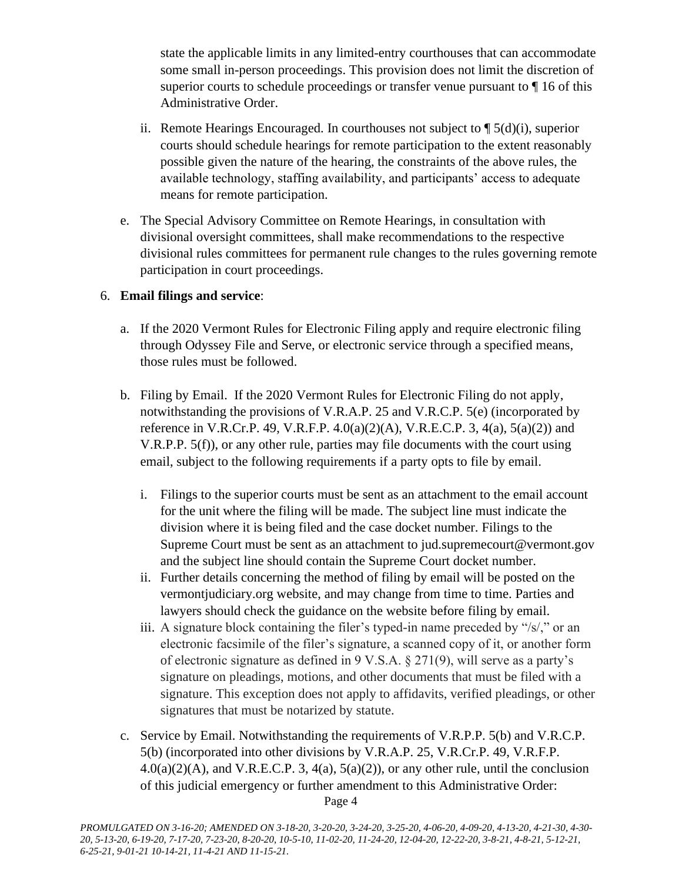state the applicable limits in any limited-entry courthouses that can accommodate some small in-person proceedings. This provision does not limit the discretion of superior courts to schedule proceedings or transfer venue pursuant to ¶ 16 of this Administrative Order.

- ii. Remote Hearings Encouraged. In courthouses not subject to ¶ 5(d)(i), superior courts should schedule hearings for remote participation to the extent reasonably possible given the nature of the hearing, the constraints of the above rules, the available technology, staffing availability, and participants' access to adequate means for remote participation.
- e. The Special Advisory Committee on Remote Hearings, in consultation with divisional oversight committees, shall make recommendations to the respective divisional rules committees for permanent rule changes to the rules governing remote participation in court proceedings.

### 6. **Email filings and service**:

- a. If the 2020 Vermont Rules for Electronic Filing apply and require electronic filing through Odyssey File and Serve, or electronic service through a specified means, those rules must be followed.
- b. Filing by Email. If the 2020 Vermont Rules for Electronic Filing do not apply, notwithstanding the provisions of V.R.A.P. 25 and V.R.C.P. 5(e) (incorporated by reference in V.R.Cr.P. 49, V.R.F.P.  $4.0(a)(2)(A)$ , V.R.E.C.P. 3,  $4(a)$ ,  $5(a)(2)$  and V.R.P.P. 5(f)), or any other rule, parties may file documents with the court using email, subject to the following requirements if a party opts to file by email.
	- i. Filings to the superior courts must be sent as an attachment to the email account for the unit where the filing will be made. The subject line must indicate the division where it is being filed and the case docket number. Filings to the Supreme Court must be sent as an attachment to jud.supremecourt@vermont.gov and the subject line should contain the Supreme Court docket number.
	- ii. Further details concerning the method of filing by email will be posted on the vermontjudiciary.org website, and may change from time to time. Parties and lawyers should check the guidance on the website before filing by email.
	- iii. A signature block containing the filer's typed-in name preceded by "/s/," or an electronic facsimile of the filer's signature, a scanned copy of it, or another form of electronic signature as defined in 9 V.S.A. § 271(9), will serve as a party's signature on pleadings, motions, and other documents that must be filed with a signature. This exception does not apply to affidavits, verified pleadings, or other signatures that must be notarized by statute.
- Page 4 c. Service by Email. Notwithstanding the requirements of V.R.P.P. 5(b) and V.R.C.P. 5(b) (incorporated into other divisions by V.R.A.P. 25, V.R.Cr.P. 49, V.R.F.P.  $4.0(a)(2)(A)$ , and V.R.E.C.P. 3,  $4(a)$ ,  $5(a)(2)$ ), or any other rule, until the conclusion of this judicial emergency or further amendment to this Administrative Order: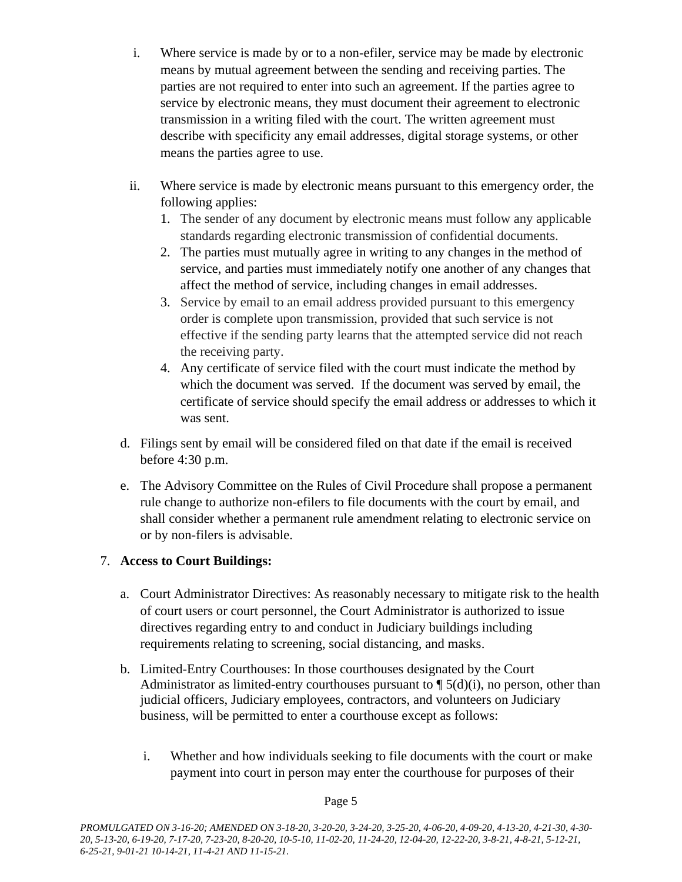- i. Where service is made by or to a non-efiler, service may be made by electronic means by mutual agreement between the sending and receiving parties. The parties are not required to enter into such an agreement. If the parties agree to service by electronic means, they must document their agreement to electronic transmission in a writing filed with the court. The written agreement must describe with specificity any email addresses, digital storage systems, or other means the parties agree to use.
- ii. Where service is made by electronic means pursuant to this emergency order, the following applies:
	- 1. The sender of any document by electronic means must follow any applicable standards regarding electronic transmission of confidential documents.
	- 2. The parties must mutually agree in writing to any changes in the method of service, and parties must immediately notify one another of any changes that affect the method of service, including changes in email addresses.
	- 3. Service by email to an email address provided pursuant to this emergency order is complete upon transmission, provided that such service is not effective if the sending party learns that the attempted service did not reach the receiving party.
	- 4. Any certificate of service filed with the court must indicate the method by which the document was served. If the document was served by email, the certificate of service should specify the email address or addresses to which it was sent.
- d. Filings sent by email will be considered filed on that date if the email is received before 4:30 p.m.
- e. The Advisory Committee on the Rules of Civil Procedure shall propose a permanent rule change to authorize non-efilers to file documents with the court by email, and shall consider whether a permanent rule amendment relating to electronic service on or by non-filers is advisable.

# 7. **Access to Court Buildings:**

- a. Court Administrator Directives: As reasonably necessary to mitigate risk to the health of court users or court personnel, the Court Administrator is authorized to issue directives regarding entry to and conduct in Judiciary buildings including requirements relating to screening, social distancing, and masks.
- b. Limited-Entry Courthouses: In those courthouses designated by the Court Administrator as limited-entry courthouses pursuant to  $\P$  5(d)(i), no person, other than judicial officers, Judiciary employees, contractors, and volunteers on Judiciary business, will be permitted to enter a courthouse except as follows:
	- i. Whether and how individuals seeking to file documents with the court or make payment into court in person may enter the courthouse for purposes of their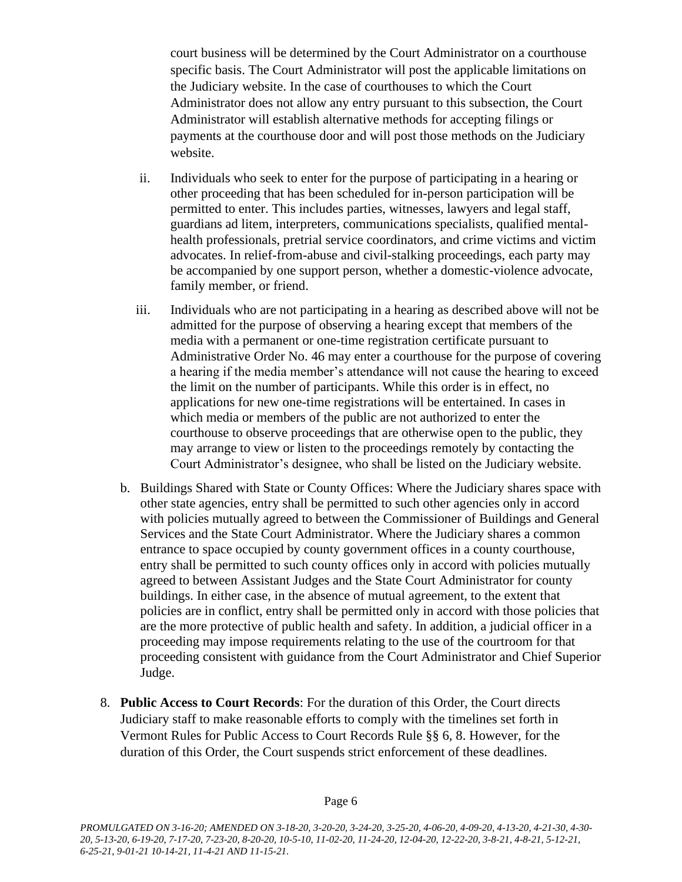court business will be determined by the Court Administrator on a courthouse specific basis. The Court Administrator will post the applicable limitations on the Judiciary website. In the case of courthouses to which the Court Administrator does not allow any entry pursuant to this subsection, the Court Administrator will establish alternative methods for accepting filings or payments at the courthouse door and will post those methods on the Judiciary website.

- ii. Individuals who seek to enter for the purpose of participating in a hearing or other proceeding that has been scheduled for in-person participation will be permitted to enter. This includes parties, witnesses, lawyers and legal staff, guardians ad litem, interpreters, communications specialists, qualified mentalhealth professionals, pretrial service coordinators, and crime victims and victim advocates. In relief-from-abuse and civil-stalking proceedings, each party may be accompanied by one support person, whether a domestic-violence advocate, family member, or friend.
- iii. Individuals who are not participating in a hearing as described above will not be admitted for the purpose of observing a hearing except that members of the media with a permanent or one-time registration certificate pursuant to Administrative Order No. 46 may enter a courthouse for the purpose of covering a hearing if the media member's attendance will not cause the hearing to exceed the limit on the number of participants. While this order is in effect, no applications for new one-time registrations will be entertained. In cases in which media or members of the public are not authorized to enter the courthouse to observe proceedings that are otherwise open to the public, they may arrange to view or listen to the proceedings remotely by contacting the Court Administrator's designee, who shall be listed on the Judiciary website.
- b. Buildings Shared with State or County Offices: Where the Judiciary shares space with other state agencies, entry shall be permitted to such other agencies only in accord with policies mutually agreed to between the Commissioner of Buildings and General Services and the State Court Administrator. Where the Judiciary shares a common entrance to space occupied by county government offices in a county courthouse, entry shall be permitted to such county offices only in accord with policies mutually agreed to between Assistant Judges and the State Court Administrator for county buildings. In either case, in the absence of mutual agreement, to the extent that policies are in conflict, entry shall be permitted only in accord with those policies that are the more protective of public health and safety. In addition, a judicial officer in a proceeding may impose requirements relating to the use of the courtroom for that proceeding consistent with guidance from the Court Administrator and Chief Superior Judge.
- 8. **Public Access to Court Records**: For the duration of this Order, the Court directs Judiciary staff to make reasonable efforts to comply with the timelines set forth in Vermont Rules for Public Access to Court Records Rule §§ 6, 8. However, for the duration of this Order, the Court suspends strict enforcement of these deadlines.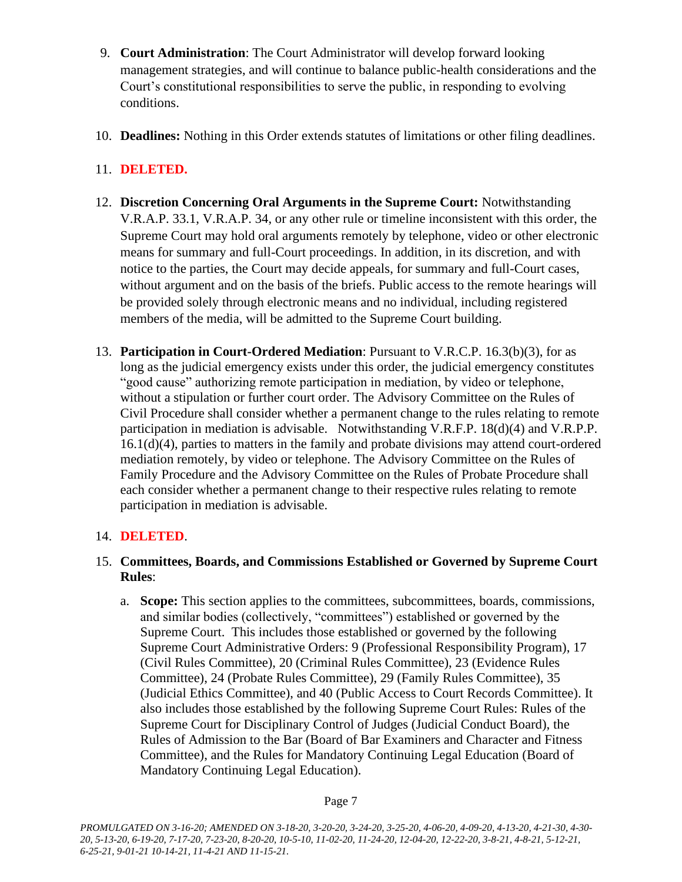- 9. **Court Administration**: The Court Administrator will develop forward looking management strategies, and will continue to balance public-health considerations and the Court's constitutional responsibilities to serve the public, in responding to evolving conditions.
- 10. **Deadlines:** Nothing in this Order extends statutes of limitations or other filing deadlines.

# 11. **DELETED.**

- 12. **Discretion Concerning Oral Arguments in the Supreme Court:** Notwithstanding V.R.A.P. 33.1, V.R.A.P. 34, or any other rule or timeline inconsistent with this order, the Supreme Court may hold oral arguments remotely by telephone, video or other electronic means for summary and full-Court proceedings. In addition, in its discretion, and with notice to the parties, the Court may decide appeals, for summary and full-Court cases, without argument and on the basis of the briefs. Public access to the remote hearings will be provided solely through electronic means and no individual, including registered members of the media, will be admitted to the Supreme Court building.
- 13. **Participation in Court-Ordered Mediation**: Pursuant to V.R.C.P. 16.3(b)(3), for as long as the judicial emergency exists under this order, the judicial emergency constitutes "good cause" authorizing remote participation in mediation, by video or telephone, without a stipulation or further court order. The Advisory Committee on the Rules of Civil Procedure shall consider whether a permanent change to the rules relating to remote participation in mediation is advisable. Notwithstanding V.R.F.P. 18(d)(4) and V.R.P.P. 16.1(d)(4), parties to matters in the family and probate divisions may attend court-ordered mediation remotely, by video or telephone. The Advisory Committee on the Rules of Family Procedure and the Advisory Committee on the Rules of Probate Procedure shall each consider whether a permanent change to their respective rules relating to remote participation in mediation is advisable.

# 14. **DELETED**.

### 15. **Committees, Boards, and Commissions Established or Governed by Supreme Court Rules**:

a. **Scope:** This section applies to the committees, subcommittees, boards, commissions, and similar bodies (collectively, "committees") established or governed by the Supreme Court. This includes those established or governed by the following Supreme Court Administrative Orders: 9 (Professional Responsibility Program), 17 (Civil Rules Committee), 20 (Criminal Rules Committee), 23 (Evidence Rules Committee), 24 (Probate Rules Committee), 29 (Family Rules Committee), 35 (Judicial Ethics Committee), and 40 (Public Access to Court Records Committee). It also includes those established by the following Supreme Court Rules: Rules of the Supreme Court for Disciplinary Control of Judges (Judicial Conduct Board), the Rules of Admission to the Bar (Board of Bar Examiners and Character and Fitness Committee), and the Rules for Mandatory Continuing Legal Education (Board of Mandatory Continuing Legal Education).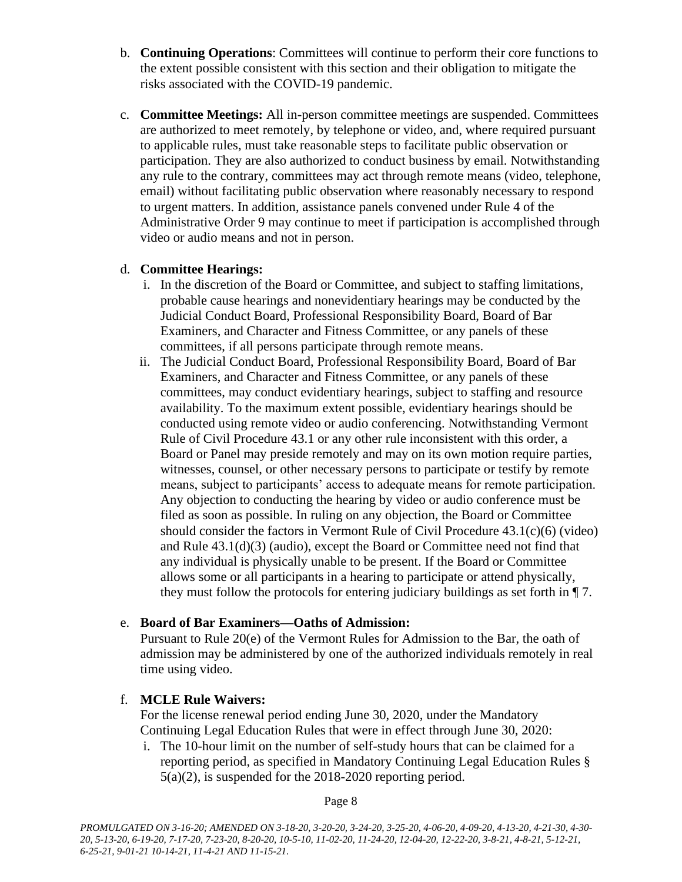- b. **Continuing Operations**: Committees will continue to perform their core functions to the extent possible consistent with this section and their obligation to mitigate the risks associated with the COVID-19 pandemic.
- c. **Committee Meetings:** All in-person committee meetings are suspended. Committees are authorized to meet remotely, by telephone or video, and, where required pursuant to applicable rules, must take reasonable steps to facilitate public observation or participation. They are also authorized to conduct business by email. Notwithstanding any rule to the contrary, committees may act through remote means (video, telephone, email) without facilitating public observation where reasonably necessary to respond to urgent matters. In addition, assistance panels convened under Rule 4 of the Administrative Order 9 may continue to meet if participation is accomplished through video or audio means and not in person.

### d. **Committee Hearings:**

- i. In the discretion of the Board or Committee, and subject to staffing limitations, probable cause hearings and nonevidentiary hearings may be conducted by the Judicial Conduct Board, Professional Responsibility Board, Board of Bar Examiners, and Character and Fitness Committee, or any panels of these committees, if all persons participate through remote means.
- ii. The Judicial Conduct Board, Professional Responsibility Board, Board of Bar Examiners, and Character and Fitness Committee, or any panels of these committees, may conduct evidentiary hearings, subject to staffing and resource availability. To the maximum extent possible, evidentiary hearings should be conducted using remote video or audio conferencing. Notwithstanding Vermont Rule of Civil Procedure 43.1 or any other rule inconsistent with this order, a Board or Panel may preside remotely and may on its own motion require parties, witnesses, counsel, or other necessary persons to participate or testify by remote means, subject to participants' access to adequate means for remote participation. Any objection to conducting the hearing by video or audio conference must be filed as soon as possible. In ruling on any objection, the Board or Committee should consider the factors in Vermont Rule of Civil Procedure  $43.1(c)(6)$  (video) and Rule 43.1(d)(3) (audio), except the Board or Committee need not find that any individual is physically unable to be present. If the Board or Committee allows some or all participants in a hearing to participate or attend physically, they must follow the protocols for entering judiciary buildings as set forth in ¶ 7.

### e. **Board of Bar Examiners—Oaths of Admission:**

Pursuant to Rule 20(e) of the Vermont Rules for Admission to the Bar, the oath of admission may be administered by one of the authorized individuals remotely in real time using video.

### f. **MCLE Rule Waivers:**

For the license renewal period ending June 30, 2020, under the Mandatory Continuing Legal Education Rules that were in effect through June 30, 2020:

i. The 10-hour limit on the number of self-study hours that can be claimed for a reporting period, as specified in Mandatory Continuing Legal Education Rules § 5(a)(2), is suspended for the 2018-2020 reporting period.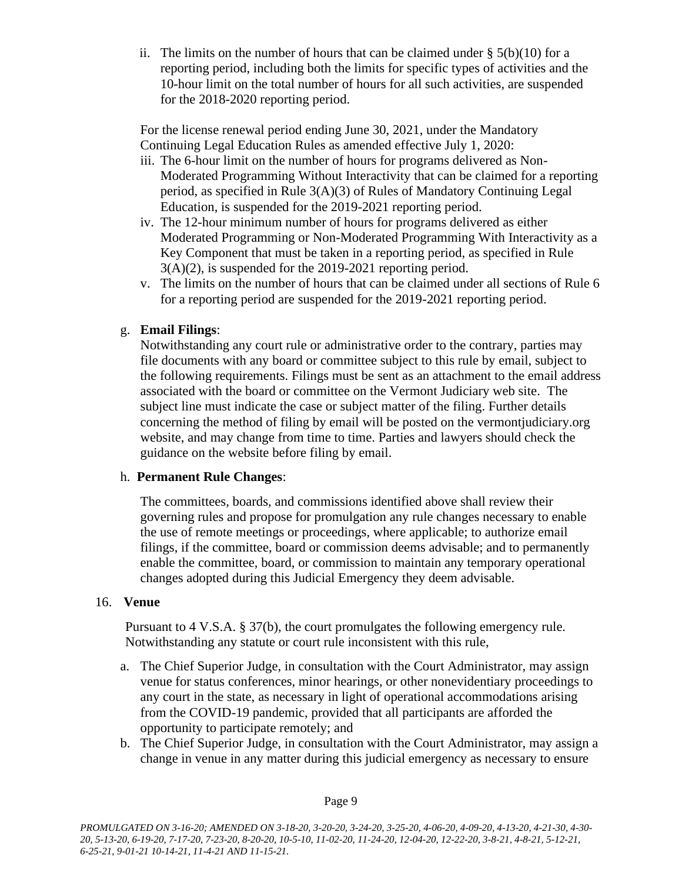ii. The limits on the number of hours that can be claimed under  $\S$  5(b)(10) for a reporting period, including both the limits for specific types of activities and the 10-hour limit on the total number of hours for all such activities, are suspended for the 2018-2020 reporting period.

For the license renewal period ending June 30, 2021, under the Mandatory Continuing Legal Education Rules as amended effective July 1, 2020:

- iii. The 6-hour limit on the number of hours for programs delivered as Non-Moderated Programming Without Interactivity that can be claimed for a reporting period, as specified in Rule 3(A)(3) of Rules of Mandatory Continuing Legal Education, is suspended for the 2019-2021 reporting period.
- iv. The 12-hour minimum number of hours for programs delivered as either Moderated Programming or Non-Moderated Programming With Interactivity as a Key Component that must be taken in a reporting period, as specified in Rule 3(A)(2), is suspended for the 2019-2021 reporting period.
- v. The limits on the number of hours that can be claimed under all sections of Rule 6 for a reporting period are suspended for the 2019-2021 reporting period.

### g. **Email Filings**:

Notwithstanding any court rule or administrative order to the contrary, parties may file documents with any board or committee subject to this rule by email, subject to the following requirements. Filings must be sent as an attachment to the email address associated with the board or committee on the Vermont Judiciary web site. The subject line must indicate the case or subject matter of the filing. Further details concerning the method of filing by email will be posted on the vermontjudiciary.org website, and may change from time to time. Parties and lawyers should check the guidance on the website before filing by email.

### h. **Permanent Rule Changes**:

The committees, boards, and commissions identified above shall review their governing rules and propose for promulgation any rule changes necessary to enable the use of remote meetings or proceedings, where applicable; to authorize email filings, if the committee, board or commission deems advisable; and to permanently enable the committee, board, or commission to maintain any temporary operational changes adopted during this Judicial Emergency they deem advisable.

### 16. **Venue**

Pursuant to 4 V.S.A. § 37(b), the court promulgates the following emergency rule. Notwithstanding any statute or court rule inconsistent with this rule,

- a. The Chief Superior Judge, in consultation with the Court Administrator, may assign venue for status conferences, minor hearings, or other nonevidentiary proceedings to any court in the state, as necessary in light of operational accommodations arising from the COVID-19 pandemic, provided that all participants are afforded the opportunity to participate remotely; and
- b. The Chief Superior Judge, in consultation with the Court Administrator, may assign a change in venue in any matter during this judicial emergency as necessary to ensure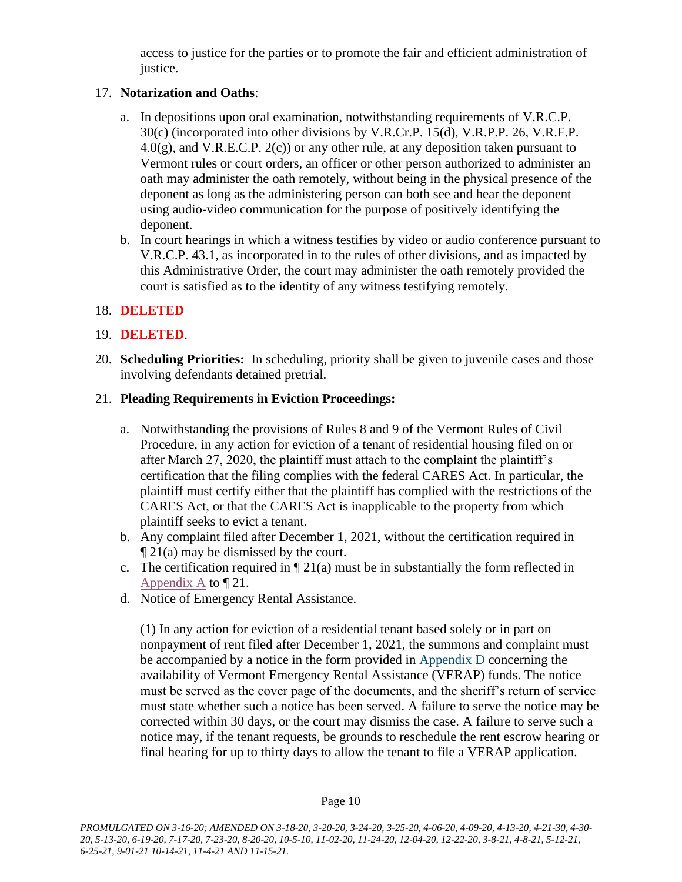access to justice for the parties or to promote the fair and efficient administration of justice.

## 17. **Notarization and Oaths**:

- a. In depositions upon oral examination, notwithstanding requirements of V.R.C.P. 30(c) (incorporated into other divisions by V.R.Cr.P. 15(d), V.R.P.P. 26, V.R.F.P.  $4.0(g)$ , and V.R.E.C.P.  $2(c)$  or any other rule, at any deposition taken pursuant to Vermont rules or court orders, an officer or other person authorized to administer an oath may administer the oath remotely, without being in the physical presence of the deponent as long as the administering person can both see and hear the deponent using audio-video communication for the purpose of positively identifying the deponent.
- b. In court hearings in which a witness testifies by video or audio conference pursuant to V.R.C.P. 43.1, as incorporated in to the rules of other divisions, and as impacted by this Administrative Order, the court may administer the oath remotely provided the court is satisfied as to the identity of any witness testifying remotely.

### 18. **DELETED**

### 19. **DELETED**.

20. **Scheduling Priorities:** In scheduling, priority shall be given to juvenile cases and those involving defendants detained pretrial.

### 21. **Pleading Requirements in Eviction Proceedings:**

- a. Notwithstanding the provisions of Rules 8 and 9 of the Vermont Rules of Civil Procedure, in any action for eviction of a tenant of residential housing filed on or after March 27, 2020, the plaintiff must attach to the complaint the plaintiff's certification that the filing complies with the federal CARES Act. In particular, the plaintiff must certify either that the plaintiff has complied with the restrictions of the CARES Act, or that the CARES Act is inapplicable to the property from which plaintiff seeks to evict a tenant.
- b. Any complaint filed after December 1, 2021, without the certification required in ¶ 21(a) may be dismissed by the court.
- c. The certification required in  $\P$  21(a) must be in substantially the form reflected in [Appendix A](https://www.vermontjudiciary.org/sites/default/files/documents/Appendix%20A_1.pdf) to ¶ 21.
- d. Notice of Emergency Rental Assistance.

(1) In any action for eviction of a residential tenant based solely or in part on nonpayment of rent filed after December 1, 2021, the summons and complaint must be accompanied by a notice in the form provided in [Appendix D](https://www.vermontjudiciary.org/sites/default/files/documents/Appendix-D-Important-Notice-to-Tenants.pdf) concerning the availability of Vermont Emergency Rental Assistance (VERAP) funds. The notice must be served as the cover page of the documents, and the sheriff's return of service must state whether such a notice has been served. A failure to serve the notice may be corrected within 30 days, or the court may dismiss the case. A failure to serve such a notice may, if the tenant requests, be grounds to reschedule the rent escrow hearing or final hearing for up to thirty days to allow the tenant to file a VERAP application.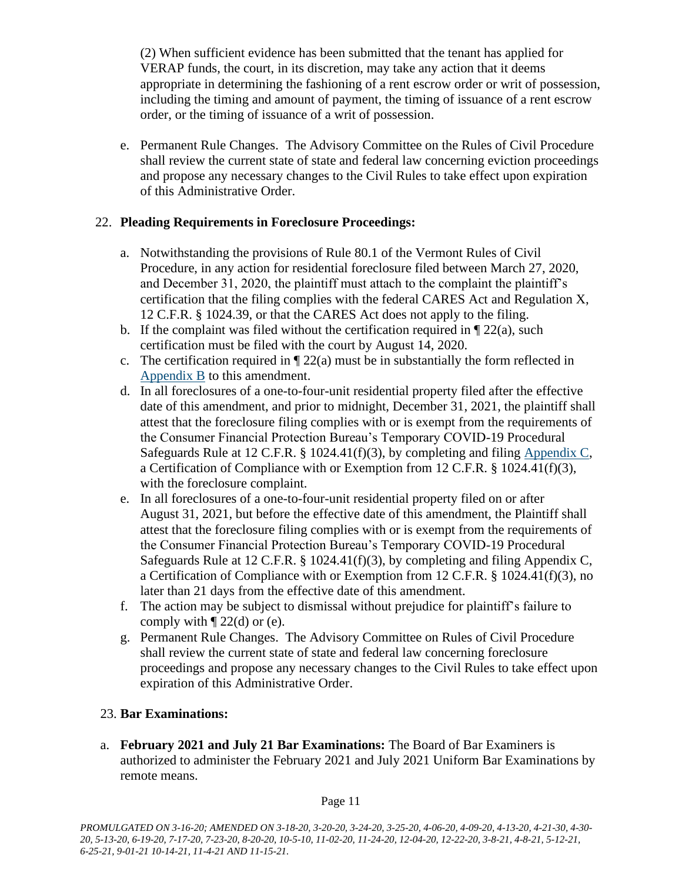(2) When sufficient evidence has been submitted that the tenant has applied for VERAP funds, the court, in its discretion, may take any action that it deems appropriate in determining the fashioning of a rent escrow order or writ of possession, including the timing and amount of payment, the timing of issuance of a rent escrow order, or the timing of issuance of a writ of possession.

e. Permanent Rule Changes. The Advisory Committee on the Rules of Civil Procedure shall review the current state of state and federal law concerning eviction proceedings and propose any necessary changes to the Civil Rules to take effect upon expiration of this Administrative Order.

### 22. **Pleading Requirements in Foreclosure Proceedings:**

- a. Notwithstanding the provisions of Rule 80.1 of the Vermont Rules of Civil Procedure, in any action for residential foreclosure filed between March 27, 2020, and December 31, 2020, the plaintiff must attach to the complaint the plaintiff's certification that the filing complies with the federal CARES Act and Regulation X, 12 C.F.R. § 1024.39, or that the CARES Act does not apply to the filing.
- b. If the complaint was filed without the certification required in  $\P$  22(a), such certification must be filed with the court by August 14, 2020.
- c. The certification required in  $\sqrt{22(a)}$  must be in substantially the form reflected in [Appendix B](https://www.vermontjudiciary.org/sites/default/files/documents/Appendix%20B.pdf) to this amendment.
- d. In all foreclosures of a one-to-four-unit residential property filed after the effective date of this amendment, and prior to midnight, December 31, 2021, the plaintiff shall attest that the foreclosure filing complies with or is exempt from the requirements of the Consumer Financial Protection Bureau's Temporary COVID-19 Procedural Safeguards Rule at 12 C.F.R. § 1024.41(f)(3), by completing and filing [Appendix C,](https://www.vermontjudiciary.org/sites/default/files/documents/APPENDIX%20C%20-%20Certification%20of%20Compliance%20or%20Exemption%20from%2012%20C.F.R.%20%C2%A7%201024.41%28f%29%283%29.pdf) a Certification of Compliance with or Exemption from 12 C.F.R. § 1024.41(f)(3), with the foreclosure complaint.
- e. In all foreclosures of a one-to-four-unit residential property filed on or after August 31, 2021, but before the effective date of this amendment, the Plaintiff shall attest that the foreclosure filing complies with or is exempt from the requirements of the Consumer Financial Protection Bureau's Temporary COVID-19 Procedural Safeguards Rule at 12 C.F.R. § 1024.41(f)(3), by completing and filing Appendix C, a Certification of Compliance with or Exemption from 12 C.F.R. § 1024.41(f)(3), no later than 21 days from the effective date of this amendment.
- f. The action may be subject to dismissal without prejudice for plaintiff's failure to comply with  $\P$  22(d) or (e).
- g. Permanent Rule Changes. The Advisory Committee on Rules of Civil Procedure shall review the current state of state and federal law concerning foreclosure proceedings and propose any necessary changes to the Civil Rules to take effect upon expiration of this Administrative Order.

# 23. **Bar Examinations:**

a. **February 2021 and July 21 Bar Examinations:** The Board of Bar Examiners is authorized to administer the February 2021 and July 2021 Uniform Bar Examinations by remote means.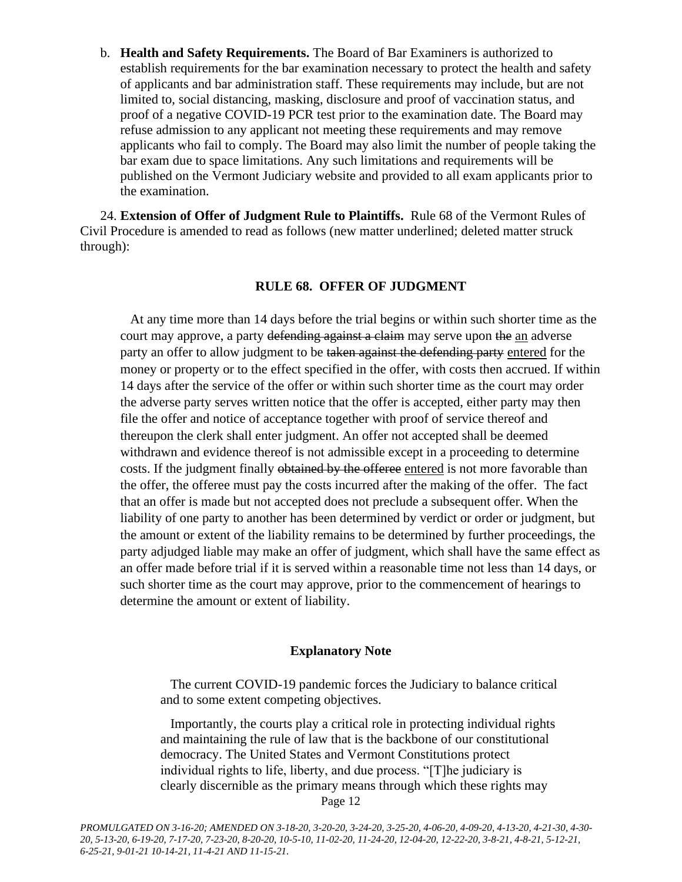b. **Health and Safety Requirements.** The Board of Bar Examiners is authorized to establish requirements for the bar examination necessary to protect the health and safety of applicants and bar administration staff. These requirements may include, but are not limited to, social distancing, masking, disclosure and proof of vaccination status, and proof of a negative COVID-19 PCR test prior to the examination date. The Board may refuse admission to any applicant not meeting these requirements and may remove applicants who fail to comply. The Board may also limit the number of people taking the bar exam due to space limitations. Any such limitations and requirements will be published on the Vermont Judiciary website and provided to all exam applicants prior to the examination.

24. **Extension of Offer of Judgment Rule to Plaintiffs.** Rule 68 of the Vermont Rules of Civil Procedure is amended to read as follows (new matter underlined; deleted matter struck through):

#### **RULE 68. OFFER OF JUDGMENT**

At any time more than 14 days before the trial begins or within such shorter time as the court may approve, a party defending against a claim may serve upon the an adverse party an offer to allow judgment to be taken against the defending party entered for the money or property or to the effect specified in the offer, with costs then accrued. If within 14 days after the service of the offer or within such shorter time as the court may order the adverse party serves written notice that the offer is accepted, either party may then file the offer and notice of acceptance together with proof of service thereof and thereupon the clerk shall enter judgment. An offer not accepted shall be deemed withdrawn and evidence thereof is not admissible except in a proceeding to determine costs. If the judgment finally obtained by the offeree entered is not more favorable than the offer, the offeree must pay the costs incurred after the making of the offer. The fact that an offer is made but not accepted does not preclude a subsequent offer. When the liability of one party to another has been determined by verdict or order or judgment, but the amount or extent of the liability remains to be determined by further proceedings, the party adjudged liable may make an offer of judgment, which shall have the same effect as an offer made before trial if it is served within a reasonable time not less than 14 days, or such shorter time as the court may approve, prior to the commencement of hearings to determine the amount or extent of liability.

#### **Explanatory Note**

The current COVID-19 pandemic forces the Judiciary to balance critical and to some extent competing objectives.

Page 12 Importantly, the courts play a critical role in protecting individual rights and maintaining the rule of law that is the backbone of our constitutional democracy. The United States and Vermont Constitutions protect individual rights to life, liberty, and due process. "[T]he judiciary is clearly discernible as the primary means through which these rights may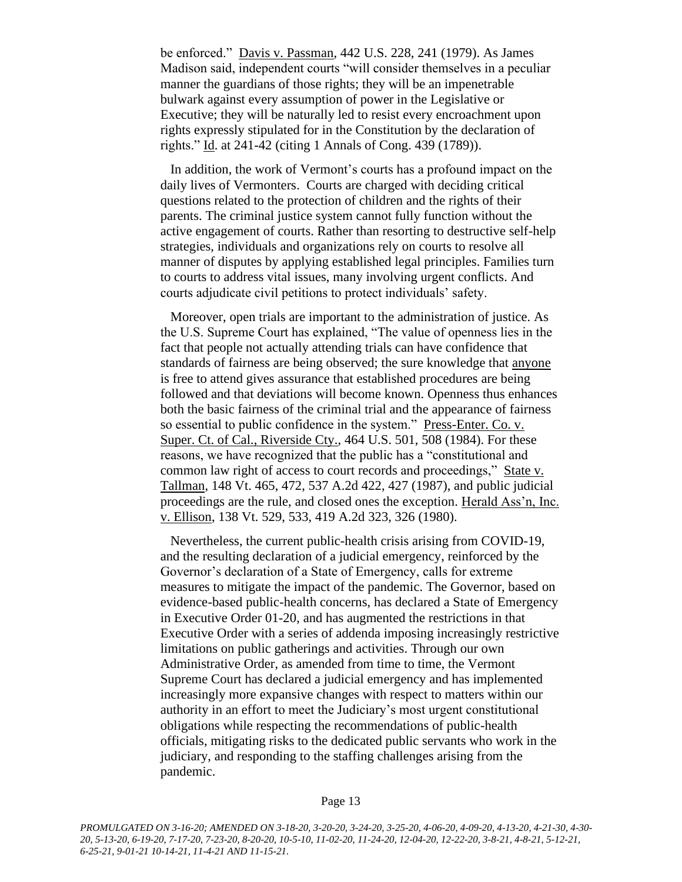be enforced." Davis v. Passman, 442 U.S. 228, 241 (1979). As James Madison said, independent courts "will consider themselves in a peculiar manner the guardians of those rights; they will be an impenetrable bulwark against every assumption of power in the Legislative or Executive; they will be naturally led to resist every encroachment upon rights expressly stipulated for in the Constitution by the declaration of rights." Id. at 241-42 (citing 1 Annals of Cong. 439 (1789)).

In addition, the work of Vermont's courts has a profound impact on the daily lives of Vermonters. Courts are charged with deciding critical questions related to the protection of children and the rights of their parents. The criminal justice system cannot fully function without the active engagement of courts. Rather than resorting to destructive self-help strategies, individuals and organizations rely on courts to resolve all manner of disputes by applying established legal principles. Families turn to courts to address vital issues, many involving urgent conflicts. And courts adjudicate civil petitions to protect individuals' safety.

Moreover, open trials are important to the administration of justice. As the U.S. Supreme Court has explained, "The value of openness lies in the fact that people not actually attending trials can have confidence that standards of fairness are being observed; the sure knowledge that anyone is free to attend gives assurance that established procedures are being followed and that deviations will become known. Openness thus enhances both the basic fairness of the criminal trial and the appearance of fairness so essential to public confidence in the system." Press-Enter. Co. v. Super. Ct. of Cal., Riverside Cty., 464 U.S. 501, 508 (1984). For these reasons, we have recognized that the public has a "constitutional and common law right of access to court records and proceedings," State v. Tallman, 148 Vt. 465, 472, 537 A.2d 422, 427 (1987), and public judicial proceedings are the rule, and closed ones the exception. Herald Ass'n, Inc. v. Ellison, 138 Vt. 529, 533, 419 A.2d 323, 326 (1980).

Nevertheless, the current public-health crisis arising from COVID-19, and the resulting declaration of a judicial emergency, reinforced by the Governor's declaration of a State of Emergency, calls for extreme measures to mitigate the impact of the pandemic. The Governor, based on evidence-based public-health concerns, has declared a State of Emergency in Executive Order 01-20, and has augmented the restrictions in that Executive Order with a series of addenda imposing increasingly restrictive limitations on public gatherings and activities. Through our own Administrative Order, as amended from time to time, the Vermont Supreme Court has declared a judicial emergency and has implemented increasingly more expansive changes with respect to matters within our authority in an effort to meet the Judiciary's most urgent constitutional obligations while respecting the recommendations of public-health officials, mitigating risks to the dedicated public servants who work in the judiciary, and responding to the staffing challenges arising from the pandemic.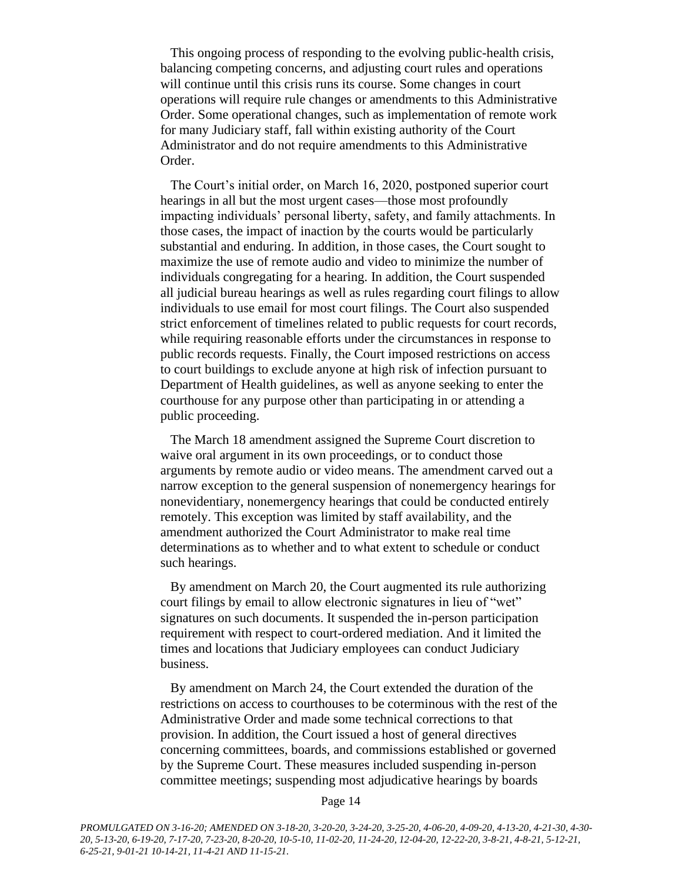This ongoing process of responding to the evolving public-health crisis, balancing competing concerns, and adjusting court rules and operations will continue until this crisis runs its course. Some changes in court operations will require rule changes or amendments to this Administrative Order. Some operational changes, such as implementation of remote work for many Judiciary staff, fall within existing authority of the Court Administrator and do not require amendments to this Administrative Order.

The Court's initial order, on March 16, 2020, postponed superior court hearings in all but the most urgent cases—those most profoundly impacting individuals' personal liberty, safety, and family attachments. In those cases, the impact of inaction by the courts would be particularly substantial and enduring. In addition, in those cases, the Court sought to maximize the use of remote audio and video to minimize the number of individuals congregating for a hearing. In addition, the Court suspended all judicial bureau hearings as well as rules regarding court filings to allow individuals to use email for most court filings. The Court also suspended strict enforcement of timelines related to public requests for court records, while requiring reasonable efforts under the circumstances in response to public records requests. Finally, the Court imposed restrictions on access to court buildings to exclude anyone at high risk of infection pursuant to Department of Health guidelines, as well as anyone seeking to enter the courthouse for any purpose other than participating in or attending a public proceeding.

The March 18 amendment assigned the Supreme Court discretion to waive oral argument in its own proceedings, or to conduct those arguments by remote audio or video means. The amendment carved out a narrow exception to the general suspension of nonemergency hearings for nonevidentiary, nonemergency hearings that could be conducted entirely remotely. This exception was limited by staff availability, and the amendment authorized the Court Administrator to make real time determinations as to whether and to what extent to schedule or conduct such hearings.

By amendment on March 20, the Court augmented its rule authorizing court filings by email to allow electronic signatures in lieu of "wet" signatures on such documents. It suspended the in-person participation requirement with respect to court-ordered mediation. And it limited the times and locations that Judiciary employees can conduct Judiciary business.

By amendment on March 24, the Court extended the duration of the restrictions on access to courthouses to be coterminous with the rest of the Administrative Order and made some technical corrections to that provision. In addition, the Court issued a host of general directives concerning committees, boards, and commissions established or governed by the Supreme Court. These measures included suspending in-person committee meetings; suspending most adjudicative hearings by boards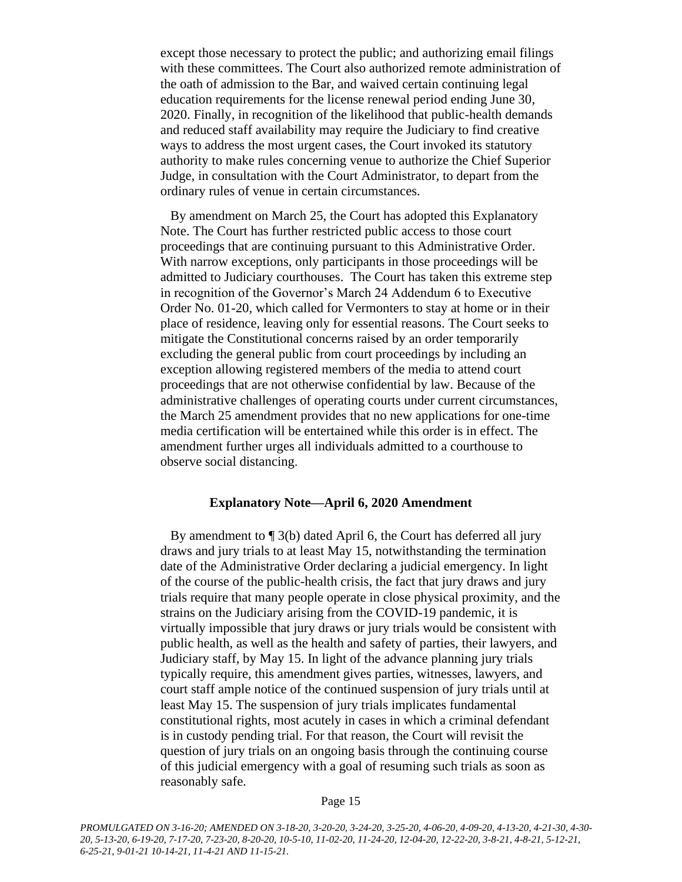except those necessary to protect the public; and authorizing email filings with these committees. The Court also authorized remote administration of the oath of admission to the Bar, and waived certain continuing legal education requirements for the license renewal period ending June 30, 2020. Finally, in recognition of the likelihood that public-health demands and reduced staff availability may require the Judiciary to find creative ways to address the most urgent cases, the Court invoked its statutory authority to make rules concerning venue to authorize the Chief Superior Judge, in consultation with the Court Administrator, to depart from the ordinary rules of venue in certain circumstances.

By amendment on March 25, the Court has adopted this Explanatory Note. The Court has further restricted public access to those court proceedings that are continuing pursuant to this Administrative Order. With narrow exceptions, only participants in those proceedings will be admitted to Judiciary courthouses. The Court has taken this extreme step in recognition of the Governor's March 24 Addendum 6 to Executive Order No. 01-20, which called for Vermonters to stay at home or in their place of residence, leaving only for essential reasons. The Court seeks to mitigate the Constitutional concerns raised by an order temporarily excluding the general public from court proceedings by including an exception allowing registered members of the media to attend court proceedings that are not otherwise confidential by law. Because of the administrative challenges of operating courts under current circumstances, the March 25 amendment provides that no new applications for one-time media certification will be entertained while this order is in effect. The amendment further urges all individuals admitted to a courthouse to observe social distancing.

#### **Explanatory Note—April 6, 2020 Amendment**

By amendment to ¶ 3(b) dated April 6, the Court has deferred all jury draws and jury trials to at least May 15, notwithstanding the termination date of the Administrative Order declaring a judicial emergency. In light of the course of the public-health crisis, the fact that jury draws and jury trials require that many people operate in close physical proximity, and the strains on the Judiciary arising from the COVID-19 pandemic, it is virtually impossible that jury draws or jury trials would be consistent with public health, as well as the health and safety of parties, their lawyers, and Judiciary staff, by May 15. In light of the advance planning jury trials typically require, this amendment gives parties, witnesses, lawyers, and court staff ample notice of the continued suspension of jury trials until at least May 15. The suspension of jury trials implicates fundamental constitutional rights, most acutely in cases in which a criminal defendant is in custody pending trial. For that reason, the Court will revisit the question of jury trials on an ongoing basis through the continuing course of this judicial emergency with a goal of resuming such trials as soon as reasonably safe.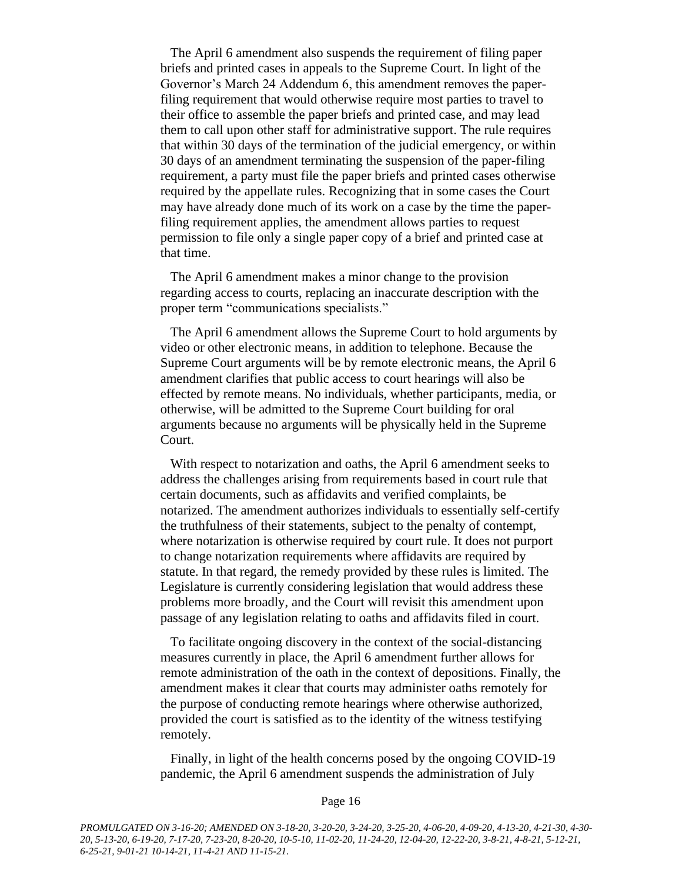The April 6 amendment also suspends the requirement of filing paper briefs and printed cases in appeals to the Supreme Court. In light of the Governor's March 24 Addendum 6, this amendment removes the paperfiling requirement that would otherwise require most parties to travel to their office to assemble the paper briefs and printed case, and may lead them to call upon other staff for administrative support. The rule requires that within 30 days of the termination of the judicial emergency, or within 30 days of an amendment terminating the suspension of the paper-filing requirement, a party must file the paper briefs and printed cases otherwise required by the appellate rules. Recognizing that in some cases the Court may have already done much of its work on a case by the time the paperfiling requirement applies, the amendment allows parties to request permission to file only a single paper copy of a brief and printed case at that time.

The April 6 amendment makes a minor change to the provision regarding access to courts, replacing an inaccurate description with the proper term "communications specialists."

The April 6 amendment allows the Supreme Court to hold arguments by video or other electronic means, in addition to telephone. Because the Supreme Court arguments will be by remote electronic means, the April 6 amendment clarifies that public access to court hearings will also be effected by remote means. No individuals, whether participants, media, or otherwise, will be admitted to the Supreme Court building for oral arguments because no arguments will be physically held in the Supreme Court.

With respect to notarization and oaths, the April 6 amendment seeks to address the challenges arising from requirements based in court rule that certain documents, such as affidavits and verified complaints, be notarized. The amendment authorizes individuals to essentially self-certify the truthfulness of their statements, subject to the penalty of contempt, where notarization is otherwise required by court rule. It does not purport to change notarization requirements where affidavits are required by statute. In that regard, the remedy provided by these rules is limited. The Legislature is currently considering legislation that would address these problems more broadly, and the Court will revisit this amendment upon passage of any legislation relating to oaths and affidavits filed in court.

To facilitate ongoing discovery in the context of the social-distancing measures currently in place, the April 6 amendment further allows for remote administration of the oath in the context of depositions. Finally, the amendment makes it clear that courts may administer oaths remotely for the purpose of conducting remote hearings where otherwise authorized, provided the court is satisfied as to the identity of the witness testifying remotely.

Finally, in light of the health concerns posed by the ongoing COVID-19 pandemic, the April 6 amendment suspends the administration of July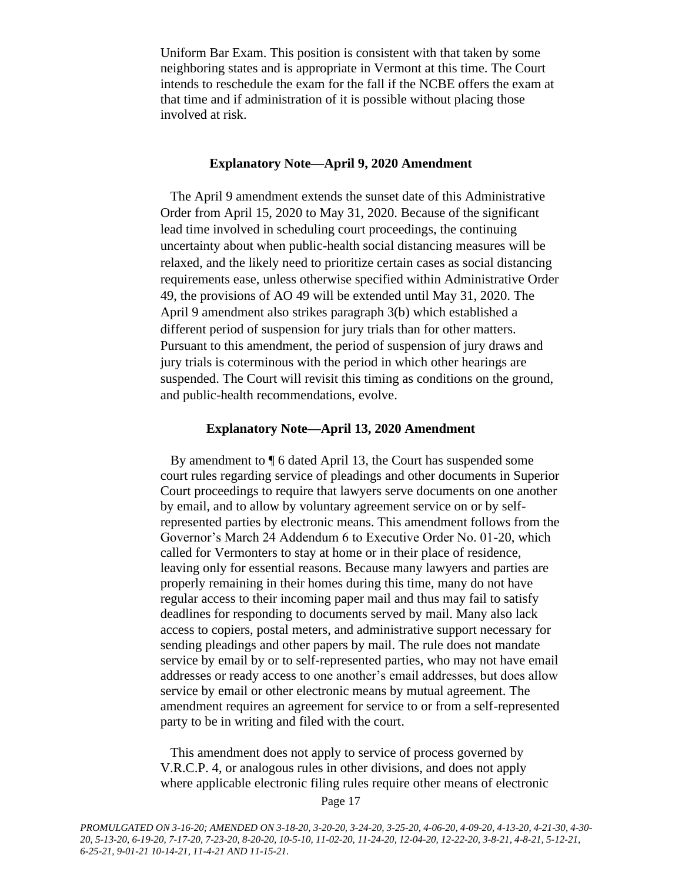Uniform Bar Exam. This position is consistent with that taken by some neighboring states and is appropriate in Vermont at this time. The Court intends to reschedule the exam for the fall if the NCBE offers the exam at that time and if administration of it is possible without placing those involved at risk.

#### **Explanatory Note—April 9, 2020 Amendment**

The April 9 amendment extends the sunset date of this Administrative Order from April 15, 2020 to May 31, 2020. Because of the significant lead time involved in scheduling court proceedings, the continuing uncertainty about when public-health social distancing measures will be relaxed, and the likely need to prioritize certain cases as social distancing requirements ease, unless otherwise specified within Administrative Order 49, the provisions of AO 49 will be extended until May 31, 2020. The April 9 amendment also strikes paragraph 3(b) which established a different period of suspension for jury trials than for other matters. Pursuant to this amendment, the period of suspension of jury draws and jury trials is coterminous with the period in which other hearings are suspended. The Court will revisit this timing as conditions on the ground, and public-health recommendations, evolve.

#### **Explanatory Note—April 13, 2020 Amendment**

By amendment to ¶ 6 dated April 13, the Court has suspended some court rules regarding service of pleadings and other documents in Superior Court proceedings to require that lawyers serve documents on one another by email, and to allow by voluntary agreement service on or by selfrepresented parties by electronic means. This amendment follows from the Governor's March 24 Addendum 6 to Executive Order No. 01-20, which called for Vermonters to stay at home or in their place of residence, leaving only for essential reasons. Because many lawyers and parties are properly remaining in their homes during this time, many do not have regular access to their incoming paper mail and thus may fail to satisfy deadlines for responding to documents served by mail. Many also lack access to copiers, postal meters, and administrative support necessary for sending pleadings and other papers by mail. The rule does not mandate service by email by or to self-represented parties, who may not have email addresses or ready access to one another's email addresses, but does allow service by email or other electronic means by mutual agreement. The amendment requires an agreement for service to or from a self-represented party to be in writing and filed with the court.

This amendment does not apply to service of process governed by V.R.C.P. 4, or analogous rules in other divisions, and does not apply where applicable electronic filing rules require other means of electronic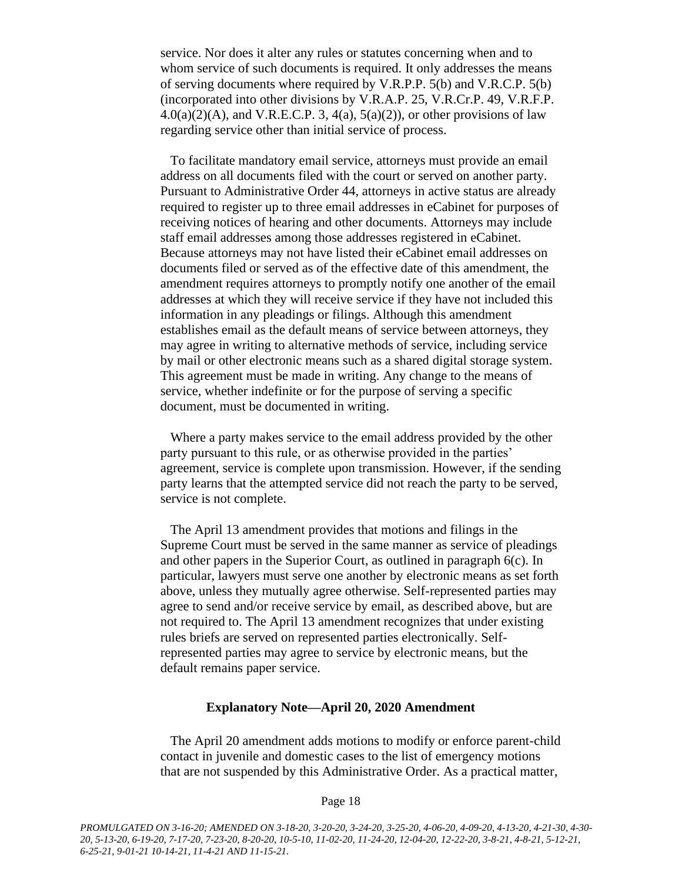service. Nor does it alter any rules or statutes concerning when and to whom service of such documents is required. It only addresses the means of serving documents where required by V.R.P.P. 5(b) and V.R.C.P. 5(b) (incorporated into other divisions by V.R.A.P. 25, V.R.Cr.P. 49, V.R.F.P.  $4.0(a)(2)(A)$ , and V.R.E.C.P. 3,  $4(a)$ ,  $5(a)(2)$ ), or other provisions of law regarding service other than initial service of process.

To facilitate mandatory email service, attorneys must provide an email address on all documents filed with the court or served on another party. Pursuant to Administrative Order 44, attorneys in active status are already required to register up to three email addresses in eCabinet for purposes of receiving notices of hearing and other documents. Attorneys may include staff email addresses among those addresses registered in eCabinet. Because attorneys may not have listed their eCabinet email addresses on documents filed or served as of the effective date of this amendment, the amendment requires attorneys to promptly notify one another of the email addresses at which they will receive service if they have not included this information in any pleadings or filings. Although this amendment establishes email as the default means of service between attorneys, they may agree in writing to alternative methods of service, including service by mail or other electronic means such as a shared digital storage system. This agreement must be made in writing. Any change to the means of service, whether indefinite or for the purpose of serving a specific document, must be documented in writing.

Where a party makes service to the email address provided by the other party pursuant to this rule, or as otherwise provided in the parties' agreement, service is complete upon transmission. However, if the sending party learns that the attempted service did not reach the party to be served, service is not complete.

The April 13 amendment provides that motions and filings in the Supreme Court must be served in the same manner as service of pleadings and other papers in the Superior Court, as outlined in paragraph 6(c). In particular, lawyers must serve one another by electronic means as set forth above, unless they mutually agree otherwise. Self-represented parties may agree to send and/or receive service by email, as described above, but are not required to. The April 13 amendment recognizes that under existing rules briefs are served on represented parties electronically. Selfrepresented parties may agree to service by electronic means, but the default remains paper service.

#### **Explanatory Note—April 20, 2020 Amendment**

The April 20 amendment adds motions to modify or enforce parent-child contact in juvenile and domestic cases to the list of emergency motions that are not suspended by this Administrative Order. As a practical matter,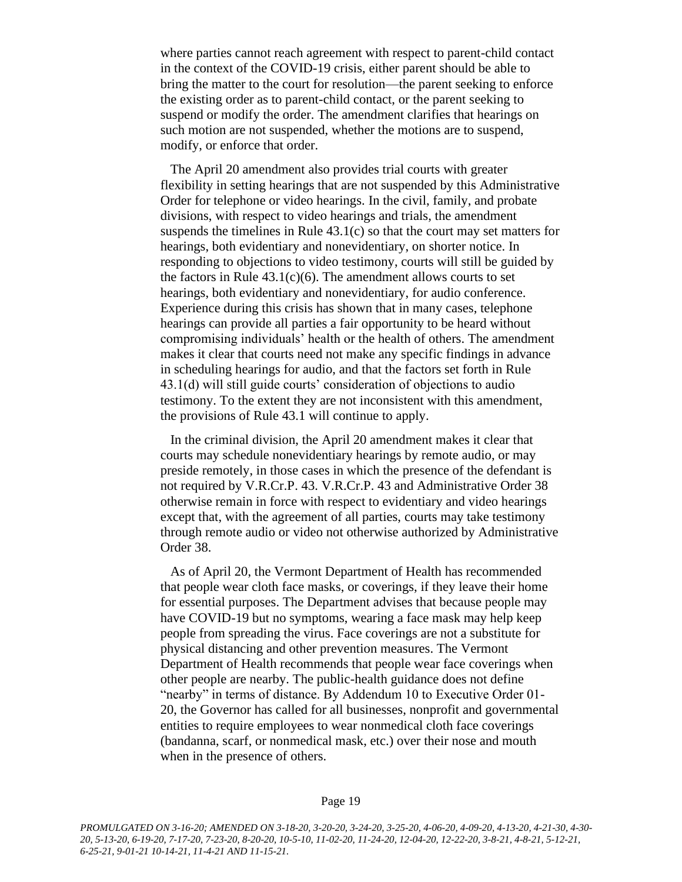where parties cannot reach agreement with respect to parent-child contact in the context of the COVID-19 crisis, either parent should be able to bring the matter to the court for resolution—the parent seeking to enforce the existing order as to parent-child contact, or the parent seeking to suspend or modify the order. The amendment clarifies that hearings on such motion are not suspended, whether the motions are to suspend, modify, or enforce that order.

The April 20 amendment also provides trial courts with greater flexibility in setting hearings that are not suspended by this Administrative Order for telephone or video hearings. In the civil, family, and probate divisions, with respect to video hearings and trials, the amendment suspends the timelines in Rule  $43.1(c)$  so that the court may set matters for hearings, both evidentiary and nonevidentiary, on shorter notice. In responding to objections to video testimony, courts will still be guided by the factors in Rule  $43.1(c)(6)$ . The amendment allows courts to set hearings, both evidentiary and nonevidentiary, for audio conference. Experience during this crisis has shown that in many cases, telephone hearings can provide all parties a fair opportunity to be heard without compromising individuals' health or the health of others. The amendment makes it clear that courts need not make any specific findings in advance in scheduling hearings for audio, and that the factors set forth in Rule 43.1(d) will still guide courts' consideration of objections to audio testimony. To the extent they are not inconsistent with this amendment, the provisions of Rule 43.1 will continue to apply.

In the criminal division, the April 20 amendment makes it clear that courts may schedule nonevidentiary hearings by remote audio, or may preside remotely, in those cases in which the presence of the defendant is not required by V.R.Cr.P. 43. V.R.Cr.P. 43 and Administrative Order 38 otherwise remain in force with respect to evidentiary and video hearings except that, with the agreement of all parties, courts may take testimony through remote audio or video not otherwise authorized by Administrative Order 38.

As of April 20, the Vermont Department of Health has recommended that people wear cloth face masks, or coverings, if they leave their home for essential purposes. The Department advises that because people may have COVID-19 but no symptoms, wearing a face mask may help keep people from spreading the virus. Face coverings are not a substitute for physical distancing and other prevention measures. The Vermont Department of Health recommends that people wear face coverings when other people are nearby. The public-health guidance does not define "nearby" in terms of distance. By Addendum 10 to Executive Order 01- 20, the Governor has called for all businesses, nonprofit and governmental entities to require employees to wear nonmedical cloth face coverings (bandanna, scarf, or nonmedical mask, etc.) over their nose and mouth when in the presence of others.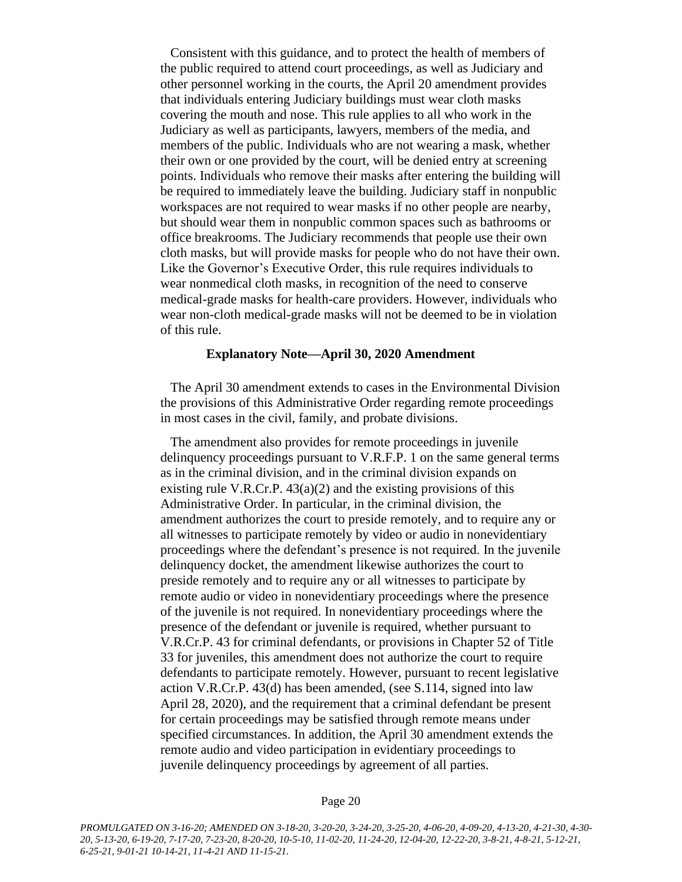Consistent with this guidance, and to protect the health of members of the public required to attend court proceedings, as well as Judiciary and other personnel working in the courts, the April 20 amendment provides that individuals entering Judiciary buildings must wear cloth masks covering the mouth and nose. This rule applies to all who work in the Judiciary as well as participants, lawyers, members of the media, and members of the public. Individuals who are not wearing a mask, whether their own or one provided by the court, will be denied entry at screening points. Individuals who remove their masks after entering the building will be required to immediately leave the building. Judiciary staff in nonpublic workspaces are not required to wear masks if no other people are nearby, but should wear them in nonpublic common spaces such as bathrooms or office breakrooms. The Judiciary recommends that people use their own cloth masks, but will provide masks for people who do not have their own. Like the Governor's Executive Order, this rule requires individuals to wear nonmedical cloth masks, in recognition of the need to conserve medical-grade masks for health-care providers. However, individuals who wear non-cloth medical-grade masks will not be deemed to be in violation of this rule.

#### **Explanatory Note—April 30, 2020 Amendment**

The April 30 amendment extends to cases in the Environmental Division the provisions of this Administrative Order regarding remote proceedings in most cases in the civil, family, and probate divisions.

The amendment also provides for remote proceedings in juvenile delinquency proceedings pursuant to V.R.F.P. 1 on the same general terms as in the criminal division, and in the criminal division expands on existing rule V.R.Cr.P.  $43(a)(2)$  and the existing provisions of this Administrative Order. In particular, in the criminal division, the amendment authorizes the court to preside remotely, and to require any or all witnesses to participate remotely by video or audio in nonevidentiary proceedings where the defendant's presence is not required. In the juvenile delinquency docket, the amendment likewise authorizes the court to preside remotely and to require any or all witnesses to participate by remote audio or video in nonevidentiary proceedings where the presence of the juvenile is not required. In nonevidentiary proceedings where the presence of the defendant or juvenile is required, whether pursuant to V.R.Cr.P. 43 for criminal defendants, or provisions in Chapter 52 of Title 33 for juveniles, this amendment does not authorize the court to require defendants to participate remotely. However, pursuant to recent legislative action V.R.Cr.P. 43(d) has been amended, (see S.114, signed into law April 28, 2020), and the requirement that a criminal defendant be present for certain proceedings may be satisfied through remote means under specified circumstances. In addition, the April 30 amendment extends the remote audio and video participation in evidentiary proceedings to juvenile delinquency proceedings by agreement of all parties.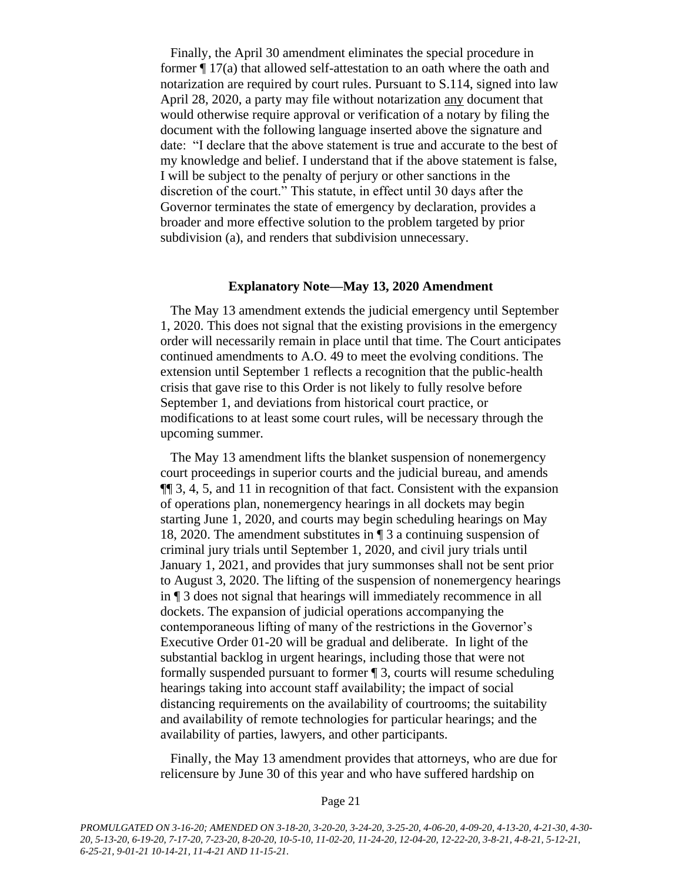Finally, the April 30 amendment eliminates the special procedure in former ¶ 17(a) that allowed self-attestation to an oath where the oath and notarization are required by court rules. Pursuant to S.114, signed into law April 28, 2020, a party may file without notarization any document that would otherwise require approval or verification of a notary by filing the document with the following language inserted above the signature and date: "I declare that the above statement is true and accurate to the best of my knowledge and belief. I understand that if the above statement is false, I will be subject to the penalty of perjury or other sanctions in the discretion of the court." This statute, in effect until 30 days after the Governor terminates the state of emergency by declaration, provides a broader and more effective solution to the problem targeted by prior subdivision (a), and renders that subdivision unnecessary.

#### **Explanatory Note—May 13, 2020 Amendment**

The May 13 amendment extends the judicial emergency until September 1, 2020. This does not signal that the existing provisions in the emergency order will necessarily remain in place until that time. The Court anticipates continued amendments to A.O. 49 to meet the evolving conditions. The extension until September 1 reflects a recognition that the public-health crisis that gave rise to this Order is not likely to fully resolve before September 1, and deviations from historical court practice, or modifications to at least some court rules, will be necessary through the upcoming summer.

The May 13 amendment lifts the blanket suspension of nonemergency court proceedings in superior courts and the judicial bureau, and amends ¶¶ 3, 4, 5, and 11 in recognition of that fact. Consistent with the expansion of operations plan, nonemergency hearings in all dockets may begin starting June 1, 2020, and courts may begin scheduling hearings on May 18, 2020. The amendment substitutes in ¶ 3 a continuing suspension of criminal jury trials until September 1, 2020, and civil jury trials until January 1, 2021, and provides that jury summonses shall not be sent prior to August 3, 2020. The lifting of the suspension of nonemergency hearings in ¶ 3 does not signal that hearings will immediately recommence in all dockets. The expansion of judicial operations accompanying the contemporaneous lifting of many of the restrictions in the Governor's Executive Order 01-20 will be gradual and deliberate. In light of the substantial backlog in urgent hearings, including those that were not formally suspended pursuant to former ¶ 3, courts will resume scheduling hearings taking into account staff availability; the impact of social distancing requirements on the availability of courtrooms; the suitability and availability of remote technologies for particular hearings; and the availability of parties, lawyers, and other participants.

Finally, the May 13 amendment provides that attorneys, who are due for relicensure by June 30 of this year and who have suffered hardship on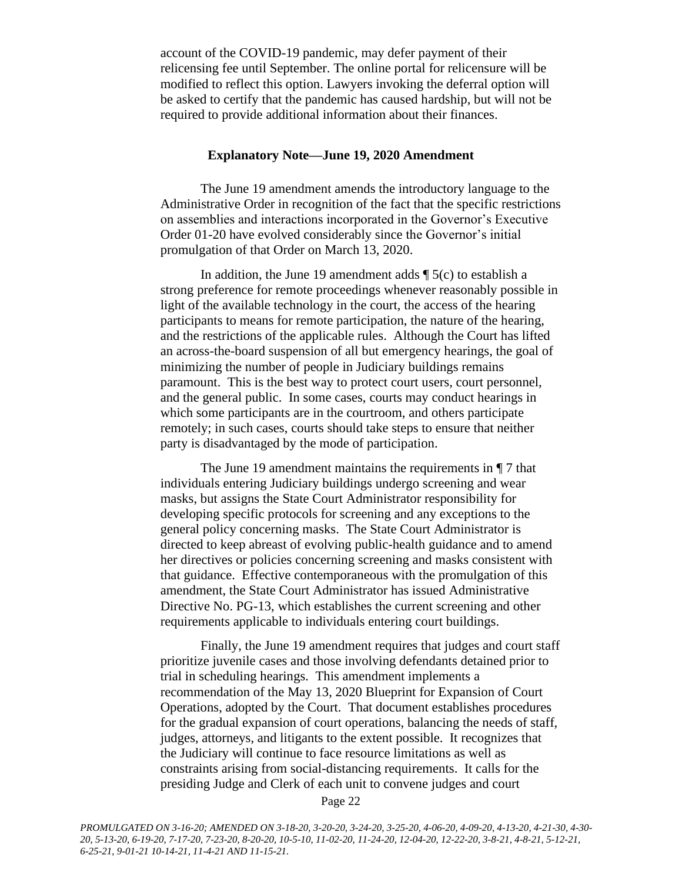account of the COVID-19 pandemic, may defer payment of their relicensing fee until September. The online portal for relicensure will be modified to reflect this option. Lawyers invoking the deferral option will be asked to certify that the pandemic has caused hardship, but will not be required to provide additional information about their finances.

#### **Explanatory Note—June 19, 2020 Amendment**

The June 19 amendment amends the introductory language to the Administrative Order in recognition of the fact that the specific restrictions on assemblies and interactions incorporated in the Governor's Executive Order 01-20 have evolved considerably since the Governor's initial promulgation of that Order on March 13, 2020.

In addition, the June 19 amendment adds  $\P$  5(c) to establish a strong preference for remote proceedings whenever reasonably possible in light of the available technology in the court, the access of the hearing participants to means for remote participation, the nature of the hearing, and the restrictions of the applicable rules. Although the Court has lifted an across-the-board suspension of all but emergency hearings, the goal of minimizing the number of people in Judiciary buildings remains paramount. This is the best way to protect court users, court personnel, and the general public. In some cases, courts may conduct hearings in which some participants are in the courtroom, and others participate remotely; in such cases, courts should take steps to ensure that neither party is disadvantaged by the mode of participation.

The June 19 amendment maintains the requirements in ¶ 7 that individuals entering Judiciary buildings undergo screening and wear masks, but assigns the State Court Administrator responsibility for developing specific protocols for screening and any exceptions to the general policy concerning masks. The State Court Administrator is directed to keep abreast of evolving public-health guidance and to amend her directives or policies concerning screening and masks consistent with that guidance. Effective contemporaneous with the promulgation of this amendment, the State Court Administrator has issued Administrative Directive No. PG-13, which establishes the current screening and other requirements applicable to individuals entering court buildings.

Finally, the June 19 amendment requires that judges and court staff prioritize juvenile cases and those involving defendants detained prior to trial in scheduling hearings. This amendment implements a recommendation of the May 13, 2020 Blueprint for Expansion of Court Operations, adopted by the Court. That document establishes procedures for the gradual expansion of court operations, balancing the needs of staff, judges, attorneys, and litigants to the extent possible. It recognizes that the Judiciary will continue to face resource limitations as well as constraints arising from social-distancing requirements. It calls for the presiding Judge and Clerk of each unit to convene judges and court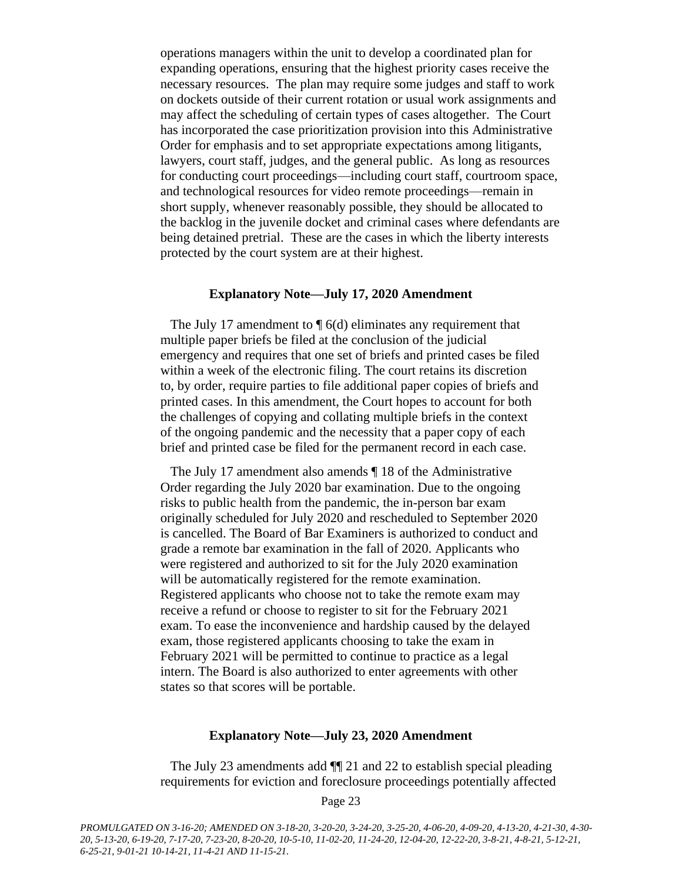operations managers within the unit to develop a coordinated plan for expanding operations, ensuring that the highest priority cases receive the necessary resources. The plan may require some judges and staff to work on dockets outside of their current rotation or usual work assignments and may affect the scheduling of certain types of cases altogether. The Court has incorporated the case prioritization provision into this Administrative Order for emphasis and to set appropriate expectations among litigants, lawyers, court staff, judges, and the general public. As long as resources for conducting court proceedings—including court staff, courtroom space, and technological resources for video remote proceedings—remain in short supply, whenever reasonably possible, they should be allocated to the backlog in the juvenile docket and criminal cases where defendants are being detained pretrial. These are the cases in which the liberty interests protected by the court system are at their highest.

#### **Explanatory Note—July 17, 2020 Amendment**

The July 17 amendment to  $\P$  6(d) eliminates any requirement that multiple paper briefs be filed at the conclusion of the judicial emergency and requires that one set of briefs and printed cases be filed within a week of the electronic filing. The court retains its discretion to, by order, require parties to file additional paper copies of briefs and printed cases. In this amendment, the Court hopes to account for both the challenges of copying and collating multiple briefs in the context of the ongoing pandemic and the necessity that a paper copy of each brief and printed case be filed for the permanent record in each case.

The July 17 amendment also amends ¶ 18 of the Administrative Order regarding the July 2020 bar examination. Due to the ongoing risks to public health from the pandemic, the in-person bar exam originally scheduled for July 2020 and rescheduled to September 2020 is cancelled. The Board of Bar Examiners is authorized to conduct and grade a remote bar examination in the fall of 2020. Applicants who were registered and authorized to sit for the July 2020 examination will be automatically registered for the remote examination. Registered applicants who choose not to take the remote exam may receive a refund or choose to register to sit for the February 2021 exam. To ease the inconvenience and hardship caused by the delayed exam, those registered applicants choosing to take the exam in February 2021 will be permitted to continue to practice as a legal intern. The Board is also authorized to enter agreements with other states so that scores will be portable.

#### **Explanatory Note—July 23, 2020 Amendment**

The July 23 amendments add ¶¶ 21 and 22 to establish special pleading requirements for eviction and foreclosure proceedings potentially affected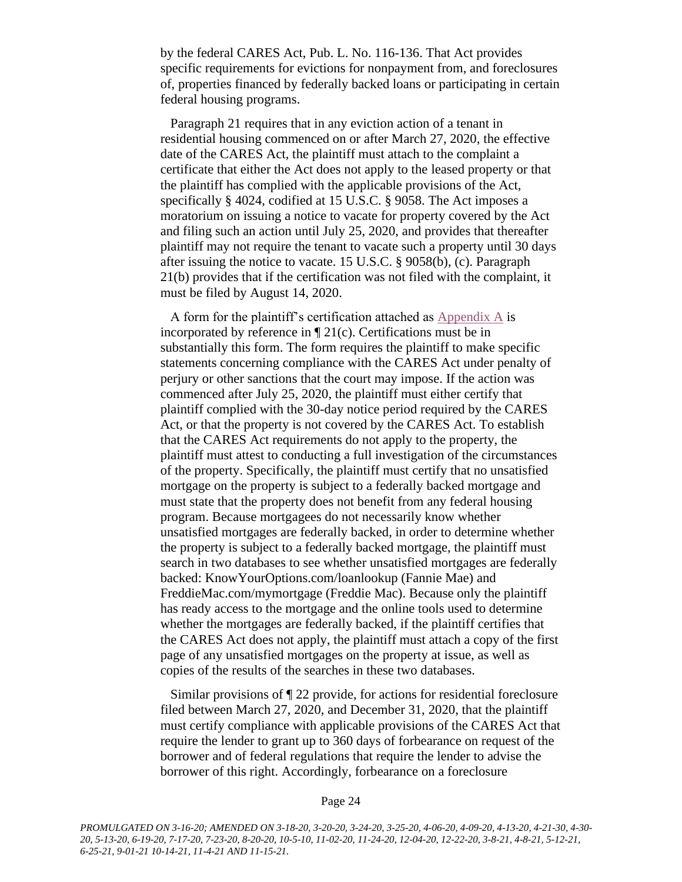by the federal CARES Act, Pub. L. No. 116-136. That Act provides specific requirements for evictions for nonpayment from, and foreclosures of, properties financed by federally backed loans or participating in certain federal housing programs.

Paragraph 21 requires that in any eviction action of a tenant in residential housing commenced on or after March 27, 2020, the effective date of the CARES Act, the plaintiff must attach to the complaint a certificate that either the Act does not apply to the leased property or that the plaintiff has complied with the applicable provisions of the Act, specifically § 4024, codified at 15 U.S.C. § 9058. The Act imposes a moratorium on issuing a notice to vacate for property covered by the Act and filing such an action until July 25, 2020, and provides that thereafter plaintiff may not require the tenant to vacate such a property until 30 days after issuing the notice to vacate. 15 U.S.C. § 9058(b), (c). Paragraph 21(b) provides that if the certification was not filed with the complaint, it must be filed by August 14, 2020.

A form for the plaintiff's certification attached as [Appendix A](https://www.vermontjudiciary.org/sites/default/files/documents/Appendix%20A_1.pdf) is incorporated by reference in  $\P$  21(c). Certifications must be in substantially this form. The form requires the plaintiff to make specific statements concerning compliance with the CARES Act under penalty of perjury or other sanctions that the court may impose. If the action was commenced after July 25, 2020, the plaintiff must either certify that plaintiff complied with the 30-day notice period required by the CARES Act, or that the property is not covered by the CARES Act. To establish that the CARES Act requirements do not apply to the property, the plaintiff must attest to conducting a full investigation of the circumstances of the property. Specifically, the plaintiff must certify that no unsatisfied mortgage on the property is subject to a federally backed mortgage and must state that the property does not benefit from any federal housing program. Because mortgagees do not necessarily know whether unsatisfied mortgages are federally backed, in order to determine whether the property is subject to a federally backed mortgage, the plaintiff must search in two databases to see whether unsatisfied mortgages are federally backed: KnowYourOptions.com/loanlookup (Fannie Mae) and FreddieMac.com/mymortgage (Freddie Mac). Because only the plaintiff has ready access to the mortgage and the online tools used to determine whether the mortgages are federally backed, if the plaintiff certifies that the CARES Act does not apply, the plaintiff must attach a copy of the first page of any unsatisfied mortgages on the property at issue, as well as copies of the results of the searches in these two databases.

Similar provisions of ¶ 22 provide, for actions for residential foreclosure filed between March 27, 2020, and December 31, 2020, that the plaintiff must certify compliance with applicable provisions of the CARES Act that require the lender to grant up to 360 days of forbearance on request of the borrower and of federal regulations that require the lender to advise the borrower of this right. Accordingly, forbearance on a foreclosure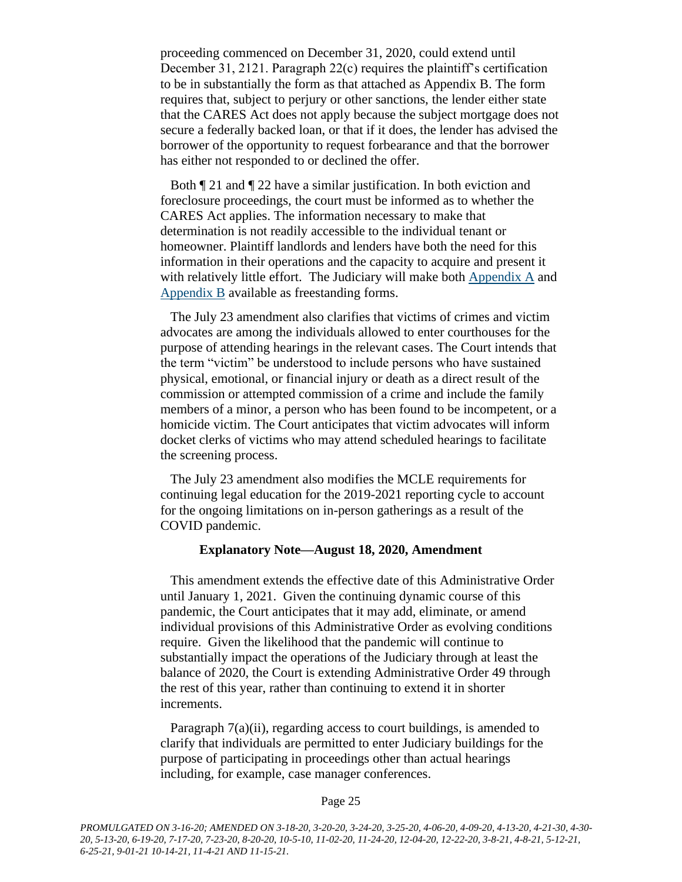proceeding commenced on December 31, 2020, could extend until December 31, 2121. Paragraph 22(c) requires the plaintiff's certification to be in substantially the form as that attached as Appendix B. The form requires that, subject to perjury or other sanctions, the lender either state that the CARES Act does not apply because the subject mortgage does not secure a federally backed loan, or that if it does, the lender has advised the borrower of the opportunity to request forbearance and that the borrower has either not responded to or declined the offer.

Both ¶ 21 and ¶ 22 have a similar justification. In both eviction and foreclosure proceedings, the court must be informed as to whether the CARES Act applies. The information necessary to make that determination is not readily accessible to the individual tenant or homeowner. Plaintiff landlords and lenders have both the need for this information in their operations and the capacity to acquire and present it with relatively little effort. The Judiciary will make both [Appendix A](https://www.vermontjudiciary.org/sites/default/files/documents/Appendix%20A_1.pdf) and [Appendix B](https://www.vermontjudiciary.org/sites/default/files/documents/Appendix%20B.pdf) available as freestanding forms.

The July 23 amendment also clarifies that victims of crimes and victim advocates are among the individuals allowed to enter courthouses for the purpose of attending hearings in the relevant cases. The Court intends that the term "victim" be understood to include persons who have sustained physical, emotional, or financial injury or death as a direct result of the commission or attempted commission of a crime and include the family members of a minor, a person who has been found to be incompetent, or a homicide victim. The Court anticipates that victim advocates will inform docket clerks of victims who may attend scheduled hearings to facilitate the screening process.

The July 23 amendment also modifies the MCLE requirements for continuing legal education for the 2019-2021 reporting cycle to account for the ongoing limitations on in-person gatherings as a result of the COVID pandemic.

#### **Explanatory Note—August 18, 2020, Amendment**

This amendment extends the effective date of this Administrative Order until January 1, 2021. Given the continuing dynamic course of this pandemic, the Court anticipates that it may add, eliminate, or amend individual provisions of this Administrative Order as evolving conditions require. Given the likelihood that the pandemic will continue to substantially impact the operations of the Judiciary through at least the balance of 2020, the Court is extending Administrative Order 49 through the rest of this year, rather than continuing to extend it in shorter increments.

Paragraph 7(a)(ii), regarding access to court buildings, is amended to clarify that individuals are permitted to enter Judiciary buildings for the purpose of participating in proceedings other than actual hearings including, for example, case manager conferences.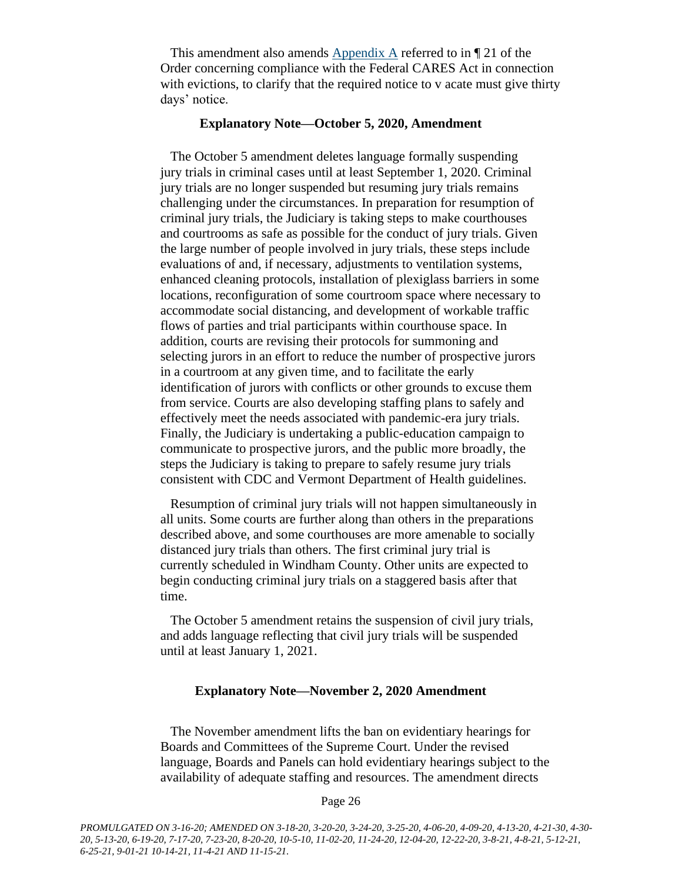This amendment also amends  $\Delta$ ppendix  $\Delta$  referred to in ¶ 21 of the Order concerning compliance with the Federal CARES Act in connection with evictions, to clarify that the required notice to v acate must give thirty days' notice.

#### **Explanatory Note—October 5, 2020, Amendment**

The October 5 amendment deletes language formally suspending jury trials in criminal cases until at least September 1, 2020. Criminal jury trials are no longer suspended but resuming jury trials remains challenging under the circumstances. In preparation for resumption of criminal jury trials, the Judiciary is taking steps to make courthouses and courtrooms as safe as possible for the conduct of jury trials. Given the large number of people involved in jury trials, these steps include evaluations of and, if necessary, adjustments to ventilation systems, enhanced cleaning protocols, installation of plexiglass barriers in some locations, reconfiguration of some courtroom space where necessary to accommodate social distancing, and development of workable traffic flows of parties and trial participants within courthouse space. In addition, courts are revising their protocols for summoning and selecting jurors in an effort to reduce the number of prospective jurors in a courtroom at any given time, and to facilitate the early identification of jurors with conflicts or other grounds to excuse them from service. Courts are also developing staffing plans to safely and effectively meet the needs associated with pandemic-era jury trials. Finally, the Judiciary is undertaking a public-education campaign to communicate to prospective jurors, and the public more broadly, the steps the Judiciary is taking to prepare to safely resume jury trials consistent with CDC and Vermont Department of Health guidelines.

Resumption of criminal jury trials will not happen simultaneously in all units. Some courts are further along than others in the preparations described above, and some courthouses are more amenable to socially distanced jury trials than others. The first criminal jury trial is currently scheduled in Windham County. Other units are expected to begin conducting criminal jury trials on a staggered basis after that time.

The October 5 amendment retains the suspension of civil jury trials, and adds language reflecting that civil jury trials will be suspended until at least January 1, 2021.

#### **Explanatory Note—November 2, 2020 Amendment**

The November amendment lifts the ban on evidentiary hearings for Boards and Committees of the Supreme Court. Under the revised language, Boards and Panels can hold evidentiary hearings subject to the availability of adequate staffing and resources. The amendment directs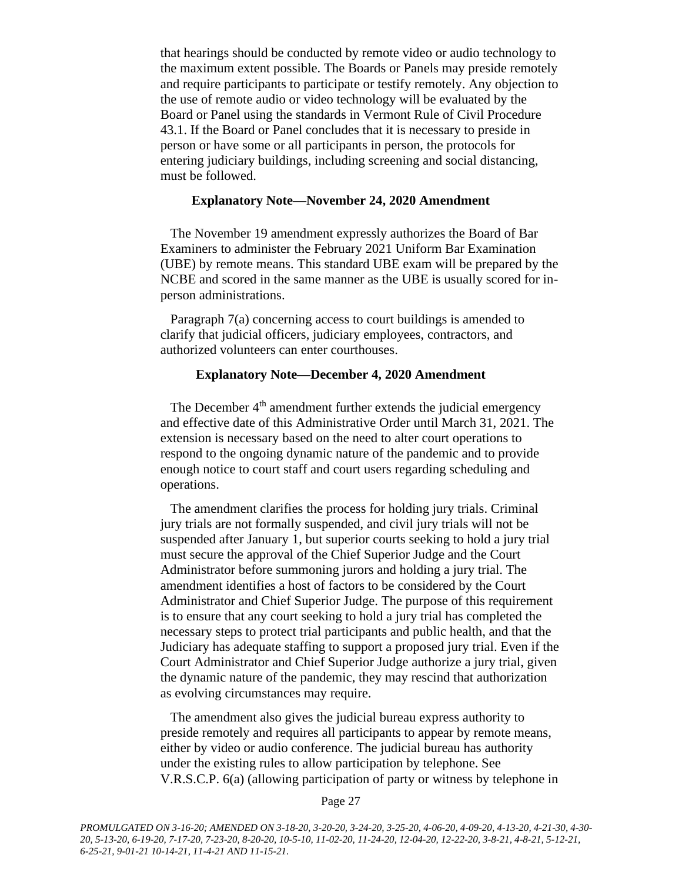that hearings should be conducted by remote video or audio technology to the maximum extent possible. The Boards or Panels may preside remotely and require participants to participate or testify remotely. Any objection to the use of remote audio or video technology will be evaluated by the Board or Panel using the standards in Vermont Rule of Civil Procedure 43.1. If the Board or Panel concludes that it is necessary to preside in person or have some or all participants in person, the protocols for entering judiciary buildings, including screening and social distancing, must be followed.

#### **Explanatory Note—November 24, 2020 Amendment**

The November 19 amendment expressly authorizes the Board of Bar Examiners to administer the February 2021 Uniform Bar Examination (UBE) by remote means. This standard UBE exam will be prepared by the NCBE and scored in the same manner as the UBE is usually scored for inperson administrations.

Paragraph 7(a) concerning access to court buildings is amended to clarify that judicial officers, judiciary employees, contractors, and authorized volunteers can enter courthouses.

#### **Explanatory Note—December 4, 2020 Amendment**

The December  $4<sup>th</sup>$  amendment further extends the judicial emergency and effective date of this Administrative Order until March 31, 2021. The extension is necessary based on the need to alter court operations to respond to the ongoing dynamic nature of the pandemic and to provide enough notice to court staff and court users regarding scheduling and operations.

The amendment clarifies the process for holding jury trials. Criminal jury trials are not formally suspended, and civil jury trials will not be suspended after January 1, but superior courts seeking to hold a jury trial must secure the approval of the Chief Superior Judge and the Court Administrator before summoning jurors and holding a jury trial. The amendment identifies a host of factors to be considered by the Court Administrator and Chief Superior Judge. The purpose of this requirement is to ensure that any court seeking to hold a jury trial has completed the necessary steps to protect trial participants and public health, and that the Judiciary has adequate staffing to support a proposed jury trial. Even if the Court Administrator and Chief Superior Judge authorize a jury trial, given the dynamic nature of the pandemic, they may rescind that authorization as evolving circumstances may require.

The amendment also gives the judicial bureau express authority to preside remotely and requires all participants to appear by remote means, either by video or audio conference. The judicial bureau has authority under the existing rules to allow participation by telephone. See V.R.S.C.P. 6(a) (allowing participation of party or witness by telephone in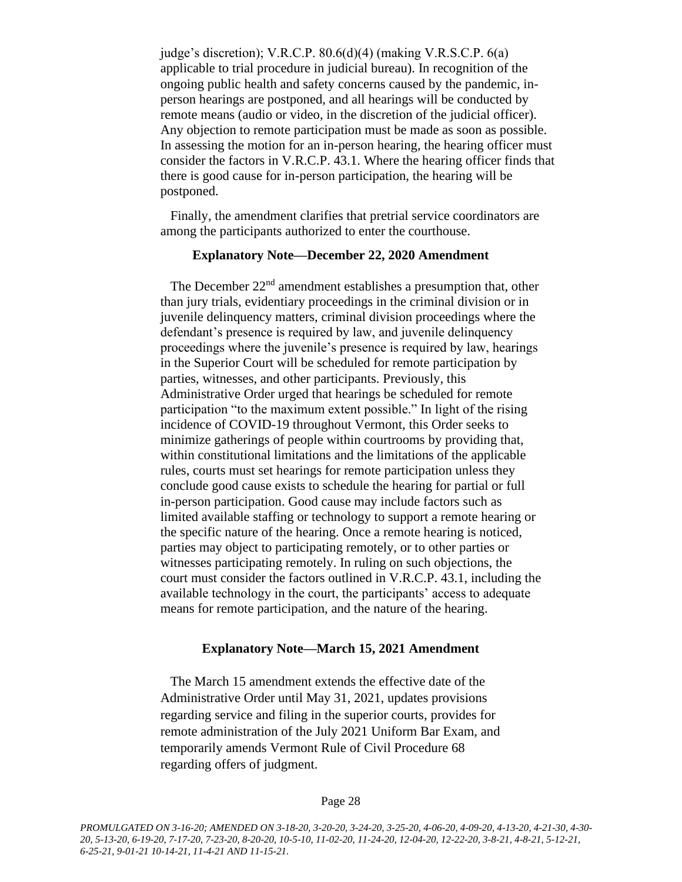judge's discretion); V.R.C.P. 80.6(d)(4) (making V.R.S.C.P. 6(a) applicable to trial procedure in judicial bureau). In recognition of the ongoing public health and safety concerns caused by the pandemic, inperson hearings are postponed, and all hearings will be conducted by remote means (audio or video, in the discretion of the judicial officer). Any objection to remote participation must be made as soon as possible. In assessing the motion for an in-person hearing, the hearing officer must consider the factors in V.R.C.P. 43.1. Where the hearing officer finds that there is good cause for in-person participation, the hearing will be postponed.

Finally, the amendment clarifies that pretrial service coordinators are among the participants authorized to enter the courthouse.

#### **Explanatory Note—December 22, 2020 Amendment**

The December  $22<sup>nd</sup>$  amendment establishes a presumption that, other than jury trials, evidentiary proceedings in the criminal division or in juvenile delinquency matters, criminal division proceedings where the defendant's presence is required by law, and juvenile delinquency proceedings where the juvenile's presence is required by law, hearings in the Superior Court will be scheduled for remote participation by parties, witnesses, and other participants. Previously, this Administrative Order urged that hearings be scheduled for remote participation "to the maximum extent possible." In light of the rising incidence of COVID-19 throughout Vermont, this Order seeks to minimize gatherings of people within courtrooms by providing that, within constitutional limitations and the limitations of the applicable rules, courts must set hearings for remote participation unless they conclude good cause exists to schedule the hearing for partial or full in-person participation. Good cause may include factors such as limited available staffing or technology to support a remote hearing or the specific nature of the hearing. Once a remote hearing is noticed, parties may object to participating remotely, or to other parties or witnesses participating remotely. In ruling on such objections, the court must consider the factors outlined in V.R.C.P. 43.1, including the available technology in the court, the participants' access to adequate means for remote participation, and the nature of the hearing.

#### **Explanatory Note—March 15, 2021 Amendment**

The March 15 amendment extends the effective date of the Administrative Order until May 31, 2021, updates provisions regarding service and filing in the superior courts, provides for remote administration of the July 2021 Uniform Bar Exam, and temporarily amends Vermont Rule of Civil Procedure 68 regarding offers of judgment.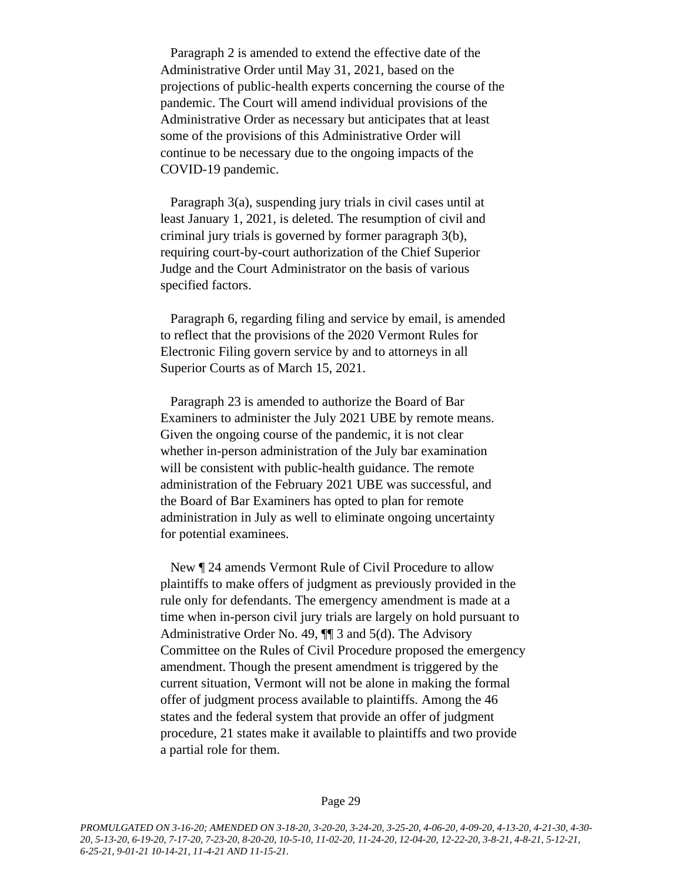Paragraph 2 is amended to extend the effective date of the Administrative Order until May 31, 2021, based on the projections of public-health experts concerning the course of the pandemic. The Court will amend individual provisions of the Administrative Order as necessary but anticipates that at least some of the provisions of this Administrative Order will continue to be necessary due to the ongoing impacts of the COVID-19 pandemic.

Paragraph 3(a), suspending jury trials in civil cases until at least January 1, 2021, is deleted. The resumption of civil and criminal jury trials is governed by former paragraph 3(b), requiring court-by-court authorization of the Chief Superior Judge and the Court Administrator on the basis of various specified factors.

Paragraph 6, regarding filing and service by email, is amended to reflect that the provisions of the 2020 Vermont Rules for Electronic Filing govern service by and to attorneys in all Superior Courts as of March 15, 2021.

Paragraph 23 is amended to authorize the Board of Bar Examiners to administer the July 2021 UBE by remote means. Given the ongoing course of the pandemic, it is not clear whether in-person administration of the July bar examination will be consistent with public-health guidance. The remote administration of the February 2021 UBE was successful, and the Board of Bar Examiners has opted to plan for remote administration in July as well to eliminate ongoing uncertainty for potential examinees.

New ¶ 24 amends Vermont Rule of Civil Procedure to allow plaintiffs to make offers of judgment as previously provided in the rule only for defendants. The emergency amendment is made at a time when in-person civil jury trials are largely on hold pursuant to Administrative Order No. 49, ¶¶ 3 and 5(d). The Advisory Committee on the Rules of Civil Procedure proposed the emergency amendment. Though the present amendment is triggered by the current situation, Vermont will not be alone in making the formal offer of judgment process available to plaintiffs. Among the 46 states and the federal system that provide an offer of judgment procedure, 21 states make it available to plaintiffs and two provide a partial role for them.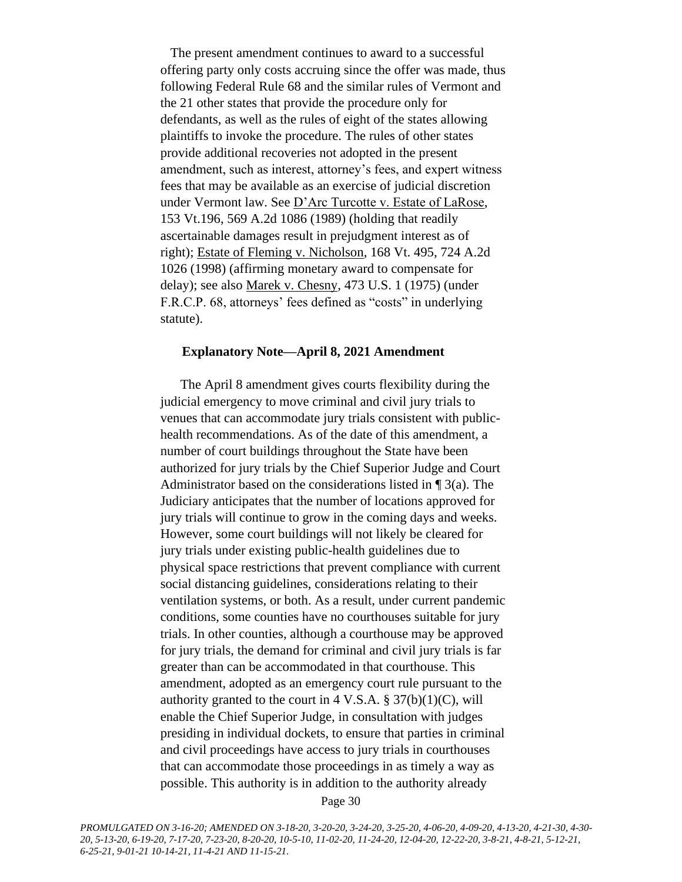The present amendment continues to award to a successful offering party only costs accruing since the offer was made, thus following Federal Rule 68 and the similar rules of Vermont and the 21 other states that provide the procedure only for defendants, as well as the rules of eight of the states allowing plaintiffs to invoke the procedure. The rules of other states provide additional recoveries not adopted in the present amendment, such as interest, attorney's fees, and expert witness fees that may be available as an exercise of judicial discretion under Vermont law. See D'Arc Turcotte v. Estate of LaRose, 153 Vt.196, 569 A.2d 1086 (1989) (holding that readily ascertainable damages result in prejudgment interest as of right); Estate of Fleming v. Nicholson, 168 Vt. 495, 724 A.2d 1026 (1998) (affirming monetary award to compensate for delay); see also Marek v. Chesny, 473 U.S. 1 (1975) (under F.R.C.P. 68, attorneys' fees defined as "costs" in underlying statute).

#### **Explanatory Note—April 8, 2021 Amendment**

The April 8 amendment gives courts flexibility during the judicial emergency to move criminal and civil jury trials to venues that can accommodate jury trials consistent with publichealth recommendations. As of the date of this amendment, a number of court buildings throughout the State have been authorized for jury trials by the Chief Superior Judge and Court Administrator based on the considerations listed in  $\P$  3(a). The Judiciary anticipates that the number of locations approved for jury trials will continue to grow in the coming days and weeks. However, some court buildings will not likely be cleared for jury trials under existing public-health guidelines due to physical space restrictions that prevent compliance with current social distancing guidelines, considerations relating to their ventilation systems, or both. As a result, under current pandemic conditions, some counties have no courthouses suitable for jury trials. In other counties, although a courthouse may be approved for jury trials, the demand for criminal and civil jury trials is far greater than can be accommodated in that courthouse. This amendment, adopted as an emergency court rule pursuant to the authority granted to the court in  $4 \text{ V.S.A.} \$   $37(b)(1)(C)$ , will enable the Chief Superior Judge, in consultation with judges presiding in individual dockets, to ensure that parties in criminal and civil proceedings have access to jury trials in courthouses that can accommodate those proceedings in as timely a way as possible. This authority is in addition to the authority already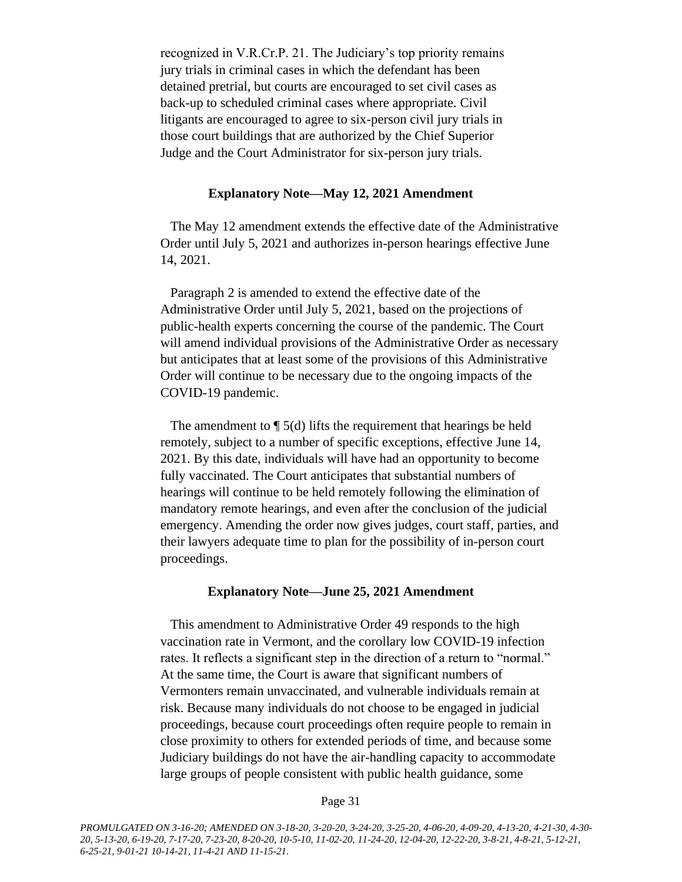recognized in V.R.Cr.P. 21. The Judiciary's top priority remains jury trials in criminal cases in which the defendant has been detained pretrial, but courts are encouraged to set civil cases as back-up to scheduled criminal cases where appropriate. Civil litigants are encouraged to agree to six-person civil jury trials in those court buildings that are authorized by the Chief Superior Judge and the Court Administrator for six-person jury trials.

#### **Explanatory Note—May 12, 2021 Amendment**

The May 12 amendment extends the effective date of the Administrative Order until July 5, 2021 and authorizes in-person hearings effective June 14, 2021.

Paragraph 2 is amended to extend the effective date of the Administrative Order until July 5, 2021, based on the projections of public-health experts concerning the course of the pandemic. The Court will amend individual provisions of the Administrative Order as necessary but anticipates that at least some of the provisions of this Administrative Order will continue to be necessary due to the ongoing impacts of the COVID-19 pandemic.

The amendment to ¶ 5(d) lifts the requirement that hearings be held remotely, subject to a number of specific exceptions, effective June 14, 2021. By this date, individuals will have had an opportunity to become fully vaccinated. The Court anticipates that substantial numbers of hearings will continue to be held remotely following the elimination of mandatory remote hearings, and even after the conclusion of the judicial emergency. Amending the order now gives judges, court staff, parties, and their lawyers adequate time to plan for the possibility of in-person court proceedings.

#### **Explanatory Note—June 25, 2021 Amendment**

This amendment to Administrative Order 49 responds to the high vaccination rate in Vermont, and the corollary low COVID-19 infection rates. It reflects a significant step in the direction of a return to "normal." At the same time, the Court is aware that significant numbers of Vermonters remain unvaccinated, and vulnerable individuals remain at risk. Because many individuals do not choose to be engaged in judicial proceedings, because court proceedings often require people to remain in close proximity to others for extended periods of time, and because some Judiciary buildings do not have the air-handling capacity to accommodate large groups of people consistent with public health guidance, some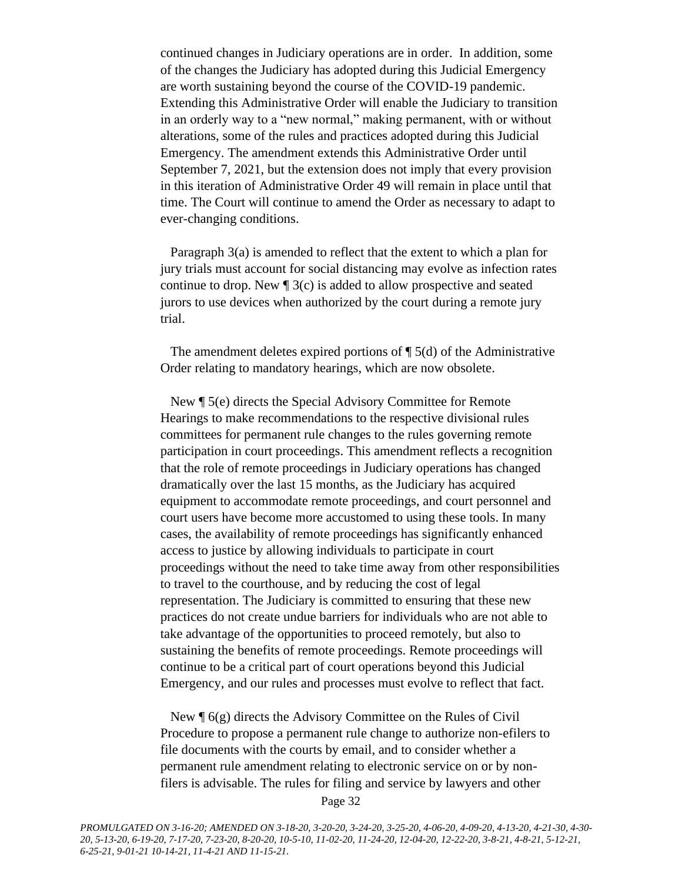continued changes in Judiciary operations are in order. In addition, some of the changes the Judiciary has adopted during this Judicial Emergency are worth sustaining beyond the course of the COVID-19 pandemic. Extending this Administrative Order will enable the Judiciary to transition in an orderly way to a "new normal," making permanent, with or without alterations, some of the rules and practices adopted during this Judicial Emergency. The amendment extends this Administrative Order until September 7, 2021, but the extension does not imply that every provision in this iteration of Administrative Order 49 will remain in place until that time. The Court will continue to amend the Order as necessary to adapt to ever-changing conditions.

Paragraph 3(a) is amended to reflect that the extent to which a plan for jury trials must account for social distancing may evolve as infection rates continue to drop. New  $\sqrt{ }$  3(c) is added to allow prospective and seated jurors to use devices when authorized by the court during a remote jury trial.

The amendment deletes expired portions of  $\P$  5(d) of the Administrative Order relating to mandatory hearings, which are now obsolete.

New ¶ 5(e) directs the Special Advisory Committee for Remote Hearings to make recommendations to the respective divisional rules committees for permanent rule changes to the rules governing remote participation in court proceedings. This amendment reflects a recognition that the role of remote proceedings in Judiciary operations has changed dramatically over the last 15 months, as the Judiciary has acquired equipment to accommodate remote proceedings, and court personnel and court users have become more accustomed to using these tools. In many cases, the availability of remote proceedings has significantly enhanced access to justice by allowing individuals to participate in court proceedings without the need to take time away from other responsibilities to travel to the courthouse, and by reducing the cost of legal representation. The Judiciary is committed to ensuring that these new practices do not create undue barriers for individuals who are not able to take advantage of the opportunities to proceed remotely, but also to sustaining the benefits of remote proceedings. Remote proceedings will continue to be a critical part of court operations beyond this Judicial Emergency, and our rules and processes must evolve to reflect that fact.

New ¶ 6(g) directs the Advisory Committee on the Rules of Civil Procedure to propose a permanent rule change to authorize non-efilers to file documents with the courts by email, and to consider whether a permanent rule amendment relating to electronic service on or by nonfilers is advisable. The rules for filing and service by lawyers and other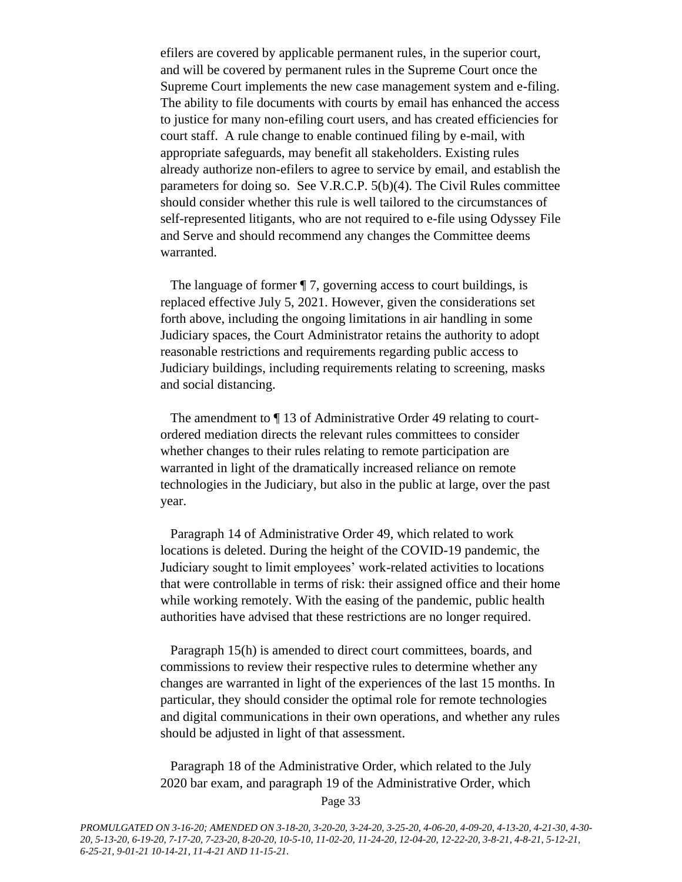efilers are covered by applicable permanent rules, in the superior court, and will be covered by permanent rules in the Supreme Court once the Supreme Court implements the new case management system and e-filing. The ability to file documents with courts by email has enhanced the access to justice for many non-efiling court users, and has created efficiencies for court staff. A rule change to enable continued filing by e-mail, with appropriate safeguards, may benefit all stakeholders. Existing rules already authorize non-efilers to agree to service by email, and establish the parameters for doing so. See V.R.C.P. 5(b)(4). The Civil Rules committee should consider whether this rule is well tailored to the circumstances of self-represented litigants, who are not required to e-file using Odyssey File and Serve and should recommend any changes the Committee deems warranted.

The language of former ¶ 7, governing access to court buildings, is replaced effective July 5, 2021. However, given the considerations set forth above, including the ongoing limitations in air handling in some Judiciary spaces, the Court Administrator retains the authority to adopt reasonable restrictions and requirements regarding public access to Judiciary buildings, including requirements relating to screening, masks and social distancing.

The amendment to ¶ 13 of Administrative Order 49 relating to courtordered mediation directs the relevant rules committees to consider whether changes to their rules relating to remote participation are warranted in light of the dramatically increased reliance on remote technologies in the Judiciary, but also in the public at large, over the past year.

Paragraph 14 of Administrative Order 49, which related to work locations is deleted. During the height of the COVID-19 pandemic, the Judiciary sought to limit employees' work-related activities to locations that were controllable in terms of risk: their assigned office and their home while working remotely. With the easing of the pandemic, public health authorities have advised that these restrictions are no longer required.

Paragraph 15(h) is amended to direct court committees, boards, and commissions to review their respective rules to determine whether any changes are warranted in light of the experiences of the last 15 months. In particular, they should consider the optimal role for remote technologies and digital communications in their own operations, and whether any rules should be adjusted in light of that assessment.

Paragraph 18 of the Administrative Order, which related to the July 2020 bar exam, and paragraph 19 of the Administrative Order, which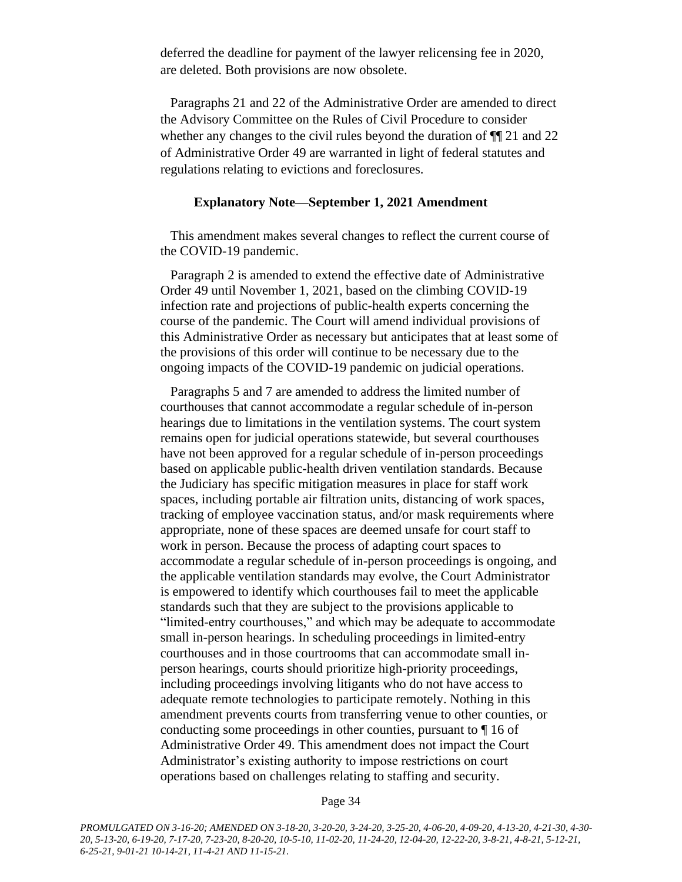deferred the deadline for payment of the lawyer relicensing fee in 2020, are deleted. Both provisions are now obsolete.

Paragraphs 21 and 22 of the Administrative Order are amended to direct the Advisory Committee on the Rules of Civil Procedure to consider whether any changes to the civil rules beyond the duration of  $\P$ [121 and 22] of Administrative Order 49 are warranted in light of federal statutes and regulations relating to evictions and foreclosures.

#### **Explanatory Note—September 1, 2021 Amendment**

This amendment makes several changes to reflect the current course of the COVID-19 pandemic.

Paragraph 2 is amended to extend the effective date of Administrative Order 49 until November 1, 2021, based on the climbing COVID-19 infection rate and projections of public-health experts concerning the course of the pandemic. The Court will amend individual provisions of this Administrative Order as necessary but anticipates that at least some of the provisions of this order will continue to be necessary due to the ongoing impacts of the COVID-19 pandemic on judicial operations.

Paragraphs 5 and 7 are amended to address the limited number of courthouses that cannot accommodate a regular schedule of in-person hearings due to limitations in the ventilation systems. The court system remains open for judicial operations statewide, but several courthouses have not been approved for a regular schedule of in-person proceedings based on applicable public-health driven ventilation standards. Because the Judiciary has specific mitigation measures in place for staff work spaces, including portable air filtration units, distancing of work spaces, tracking of employee vaccination status, and/or mask requirements where appropriate, none of these spaces are deemed unsafe for court staff to work in person. Because the process of adapting court spaces to accommodate a regular schedule of in-person proceedings is ongoing, and the applicable ventilation standards may evolve, the Court Administrator is empowered to identify which courthouses fail to meet the applicable standards such that they are subject to the provisions applicable to "limited-entry courthouses," and which may be adequate to accommodate small in-person hearings. In scheduling proceedings in limited-entry courthouses and in those courtrooms that can accommodate small inperson hearings, courts should prioritize high-priority proceedings, including proceedings involving litigants who do not have access to adequate remote technologies to participate remotely. Nothing in this amendment prevents courts from transferring venue to other counties, or conducting some proceedings in other counties, pursuant to ¶ 16 of Administrative Order 49. This amendment does not impact the Court Administrator's existing authority to impose restrictions on court operations based on challenges relating to staffing and security.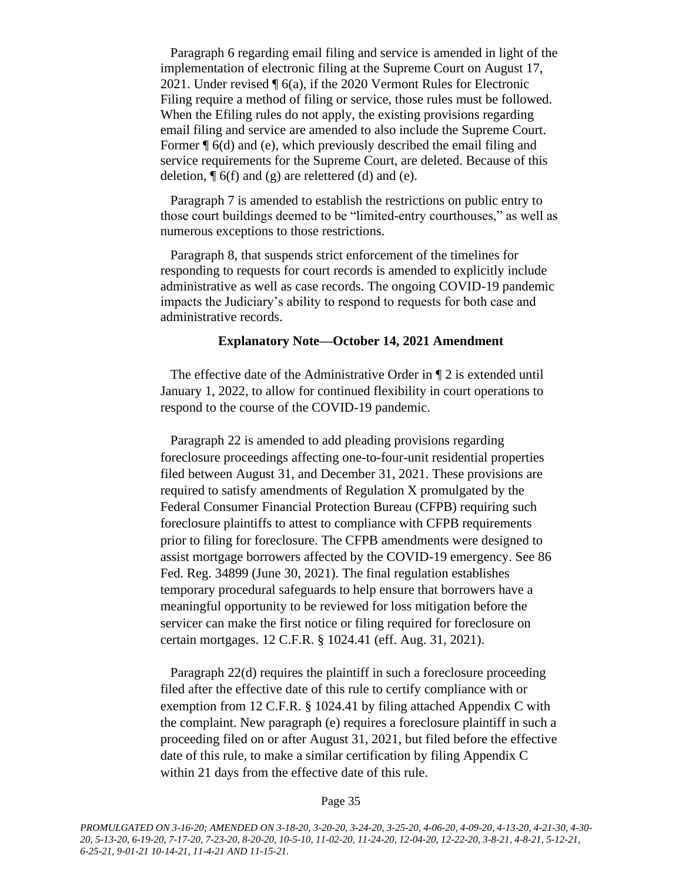Paragraph 6 regarding email filing and service is amended in light of the implementation of electronic filing at the Supreme Court on August 17, 2021. Under revised ¶ 6(a), if the 2020 Vermont Rules for Electronic Filing require a method of filing or service, those rules must be followed. When the Efiling rules do not apply, the existing provisions regarding email filing and service are amended to also include the Supreme Court. Former ¶ 6(d) and (e), which previously described the email filing and service requirements for the Supreme Court, are deleted. Because of this deletion,  $\P$  6(f) and (g) are relettered (d) and (e).

Paragraph 7 is amended to establish the restrictions on public entry to those court buildings deemed to be "limited-entry courthouses," as well as numerous exceptions to those restrictions.

Paragraph 8, that suspends strict enforcement of the timelines for responding to requests for court records is amended to explicitly include administrative as well as case records. The ongoing COVID-19 pandemic impacts the Judiciary's ability to respond to requests for both case and administrative records.

#### **Explanatory Note—October 14, 2021 Amendment**

The effective date of the Administrative Order in ¶ 2 is extended until January 1, 2022, to allow for continued flexibility in court operations to respond to the course of the COVID-19 pandemic.

Paragraph 22 is amended to add pleading provisions regarding foreclosure proceedings affecting one-to-four-unit residential properties filed between August 31, and December 31, 2021. These provisions are required to satisfy amendments of Regulation X promulgated by the Federal Consumer Financial Protection Bureau (CFPB) requiring such foreclosure plaintiffs to attest to compliance with CFPB requirements prior to filing for foreclosure. The CFPB amendments were designed to assist mortgage borrowers affected by the COVID-19 emergency. See 86 Fed. Reg. 34899 (June 30, 2021). The final regulation establishes temporary procedural safeguards to help ensure that borrowers have a meaningful opportunity to be reviewed for loss mitigation before the servicer can make the first notice or filing required for foreclosure on certain mortgages. 12 C.F.R. § 1024.41 (eff. Aug. 31, 2021).

Paragraph 22(d) requires the plaintiff in such a foreclosure proceeding filed after the effective date of this rule to certify compliance with or exemption from 12 C.F.R. § 1024.41 by filing attached Appendix C with the complaint. New paragraph (e) requires a foreclosure plaintiff in such a proceeding filed on or after August 31, 2021, but filed before the effective date of this rule, to make a similar certification by filing Appendix C within 21 days from the effective date of this rule.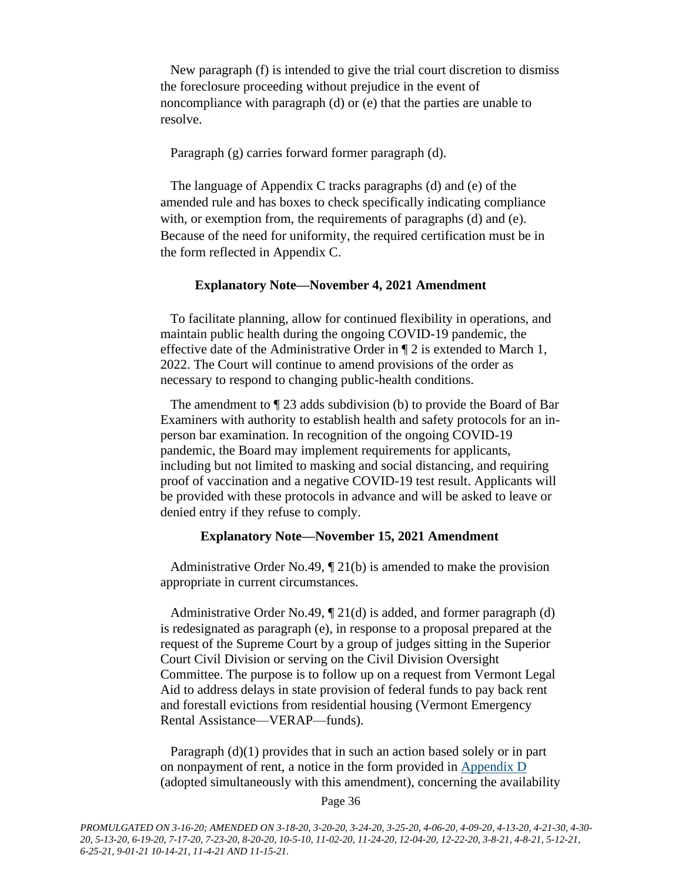New paragraph (f) is intended to give the trial court discretion to dismiss the foreclosure proceeding without prejudice in the event of noncompliance with paragraph (d) or (e) that the parties are unable to resolve.

Paragraph (g) carries forward former paragraph (d).

The language of Appendix C tracks paragraphs (d) and (e) of the amended rule and has boxes to check specifically indicating compliance with, or exemption from, the requirements of paragraphs (d) and (e). Because of the need for uniformity, the required certification must be in the form reflected in Appendix C.

#### **Explanatory Note—November 4, 2021 Amendment**

To facilitate planning, allow for continued flexibility in operations, and maintain public health during the ongoing COVID-19 pandemic, the effective date of the Administrative Order in ¶ 2 is extended to March 1, 2022. The Court will continue to amend provisions of the order as necessary to respond to changing public-health conditions.

The amendment to ¶ 23 adds subdivision (b) to provide the Board of Bar Examiners with authority to establish health and safety protocols for an inperson bar examination. In recognition of the ongoing COVID-19 pandemic, the Board may implement requirements for applicants, including but not limited to masking and social distancing, and requiring proof of vaccination and a negative COVID-19 test result. Applicants will be provided with these protocols in advance and will be asked to leave or denied entry if they refuse to comply.

#### **Explanatory Note—November 15, 2021 Amendment**

Administrative Order No.49,  $\P$  21(b) is amended to make the provision appropriate in current circumstances.

Administrative Order No.49, ¶ 21(d) is added, and former paragraph (d) is redesignated as paragraph (e), in response to a proposal prepared at the request of the Supreme Court by a group of judges sitting in the Superior Court Civil Division or serving on the Civil Division Oversight Committee. The purpose is to follow up on a request from Vermont Legal Aid to address delays in state provision of federal funds to pay back rent and forestall evictions from residential housing (Vermont Emergency Rental Assistance—VERAP—funds).

Paragraph (d)(1) provides that in such an action based solely or in part on nonpayment of rent, a notice in the form provided in [Appendix D](https://www.vermontjudiciary.org/sites/default/files/documents/Appendix-D-Important-Notice-to-Tenants.pdf) (adopted simultaneously with this amendment), concerning the availability